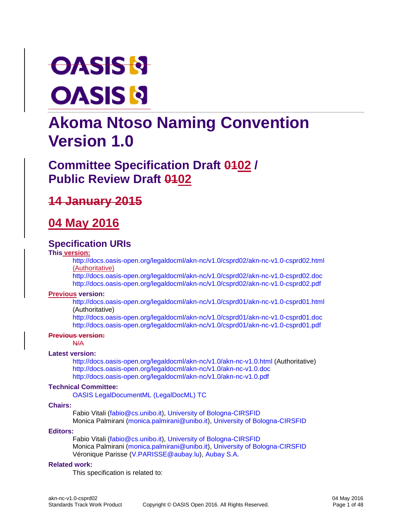# **OASIS & OASIS N**

# **Akoma Ntoso Naming Convention Version 1.0**

# **Committee Specification Draft 0102 / Public Review Draft 0402**

# **14 January 2015**

# **04 May 2016**

### **Specification URIs**

#### **This version:**

<http://docs.oasis-open.org/legaldocml/akn-nc/v1.0/csprd02/akn-nc-v1.0-csprd02.html> (Authoritative)

<http://docs.oasis-open.org/legaldocml/akn-nc/v1.0/csprd02/akn-nc-v1.0-csprd02.doc> <http://docs.oasis-open.org/legaldocml/akn-nc/v1.0/csprd02/akn-nc-v1.0-csprd02.pdf>

#### **Previous version:**

<http://docs.oasis-open.org/legaldocml/akn-nc/v1.0/csprd01/akn-nc-v1.0-csprd01.html> (Authoritative)

<http://docs.oasis-open.org/legaldocml/akn-nc/v1.0/csprd01/akn-nc-v1.0-csprd01.doc> <http://docs.oasis-open.org/legaldocml/akn-nc/v1.0/csprd01/akn-nc-v1.0-csprd01.pdf>

#### **Previous version:**

N/A

#### **Latest version:**

<http://docs.oasis-open.org/legaldocml/akn-nc/v1.0/akn-nc-v1.0.html> (Authoritative) <http://docs.oasis-open.org/legaldocml/akn-nc/v1.0/akn-nc-v1.0.doc> <http://docs.oasis-open.org/legaldocml/akn-nc/v1.0/akn-nc-v1.0.pdf>

#### **Technical Committee:**

[OASIS LegalDocumentML \(LegalDocML\) TC](https://www.oasis-open.org/committees/legaldocml/)

#### **Chairs:**

Fabio Vitali [\(fabio@cs.unibo.it\)](mailto:fabio@cs.unibo.it), [University of Bologna-CIRSFID](http://www.cirsfid.unibo.it/) Monica Palmirani [\(monica.palmirani@unibo.it\)](mailto:monica.palmirani@unibo.it), [University of Bologna-CIRSFID](http://www.cirsfid.unibo.it/)

#### **Editors:**

Fabio Vitali [\(fabio@cs.unibo.it\)](mailto:fabio@cs.unibo.it), [University of Bologna-CIRSFID](http://www.cirsfid.unibo.it/) Monica Palmirani [\(monica.palmirani@unibo.it\)](mailto:monica.palmirani@unibo.it), [University of Bologna-CIRSFID](http://www.cirsfid.unibo.it/) Véronique Parisse [\(V.PARISSE@aubay.lu\)](mailto:V.PARISSE@aubay.lu), [Aubay S.A.](http://aubay.com/)

#### **Related work:**

This specification is related to: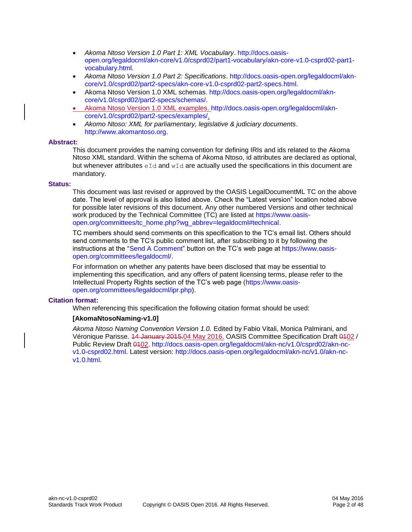- *Akoma Ntoso Version 1.0 Part 1: XML Vocabulary*. [http://docs.oasis](http://docs.oasis-open.org/legaldocml/akn-core/v1.0/csprd02/part1-vocabulary/akn-core-v1.0-csprd02-part1-vocabulary.html)[open.org/legaldocml/akn-core/v1.0/csprd02/part1-vocabulary/akn-core-v1.0-csprd02-part1](http://docs.oasis-open.org/legaldocml/akn-core/v1.0/csprd02/part1-vocabulary/akn-core-v1.0-csprd02-part1-vocabulary.html) [vocabulary.html.](http://docs.oasis-open.org/legaldocml/akn-core/v1.0/csprd02/part1-vocabulary/akn-core-v1.0-csprd02-part1-vocabulary.html)
- *Akoma Ntoso Version 1.0 Part 2: Specifications*. [http://docs.oasis-open.org/legaldocml/akn](http://docs.oasis-open.org/legaldocml/akn-core/v1.0/csprd02/part2-specs/akn-core-v1.0-csprd02-part2-specs.html)[core/v1.0/csprd02/part2-specs/akn-core-v1.0-csprd02-part2-specs.html.](http://docs.oasis-open.org/legaldocml/akn-core/v1.0/csprd02/part2-specs/akn-core-v1.0-csprd02-part2-specs.html)
- Akoma Ntoso Version 1.0 XML schemas. [http://docs.oasis-open.org/legaldocml/akn](http://docs.oasis-open.org/legaldocml/akn-core/v1.0/csprd02/part2-specs/schemas/)[core/v1.0/csprd02/part2-specs/schemas/.](http://docs.oasis-open.org/legaldocml/akn-core/v1.0/csprd02/part2-specs/schemas/)
- Akoma Ntoso Version 1.0 XML examples. [http://docs.oasis-open.org/legaldocml/akn](http://docs.oasis-open.org/legaldocml/akn-core/v1.0/csprd02/part2-specs/examples/)[core/v1.0/csprd02/part2-specs/examples/.](http://docs.oasis-open.org/legaldocml/akn-core/v1.0/csprd02/part2-specs/examples/)
- *Akomo Ntoso: XML for parliamentary, legislative & judiciary documents*. [http://www.akomantoso.org.](http://www.akomantoso.org/)

#### **Abstract:**

This document provides the naming convention for defining IRIs and ids related to the Akoma Ntoso XML standard. Within the schema of Akoma Ntoso, id attributes are declared as optional, but whenever attributes  $eId$  and  $wId$  are actually used the specifications in this document are mandatory.

#### **Status:**

This document was last revised or approved by the OASIS LegalDocumentML TC on the above date. The level of approval is also listed above. Check the "Latest version" location noted above for possible later revisions of this document. Any other numbered Versions and other technical work produced by the Technical Committee (TC) are listed at [https://www.oasis](https://www.oasis-open.org/committees/tc_home.php?wg_abbrev=legaldocml#technical)[open.org/committees/tc\\_home.php?wg\\_abbrev=legaldocml#technical.](https://www.oasis-open.org/committees/tc_home.php?wg_abbrev=legaldocml#technical)

TC members should send comments on this specification to the TC's email list. Others should send comments to the TC's public comment list, after subscribing to it by following the instructions at the ["Send A Comment"](https://www.oasis-open.org/committees/comments/index.php?wg_abbrev=legaldocml) button on the TC's web page at [https://www.oasis](https://www.oasis-open.org/committees/legaldocml/)[open.org/committees/legaldocml/.](https://www.oasis-open.org/committees/legaldocml/)

For information on whether any patents have been disclosed that may be essential to implementing this specification, and any offers of patent licensing terms, please refer to the Intellectual Property Rights section of the TC's web page [\(https://www.oasis](https://www.oasis-open.org/committees/legaldocml/ipr.php)[open.org/committees/legaldocml/ipr.php\)](https://www.oasis-open.org/committees/legaldocml/ipr.php).

#### **Citation format:**

When referencing this specification the following citation format should be used:

#### **[AkomaNtosoNaming-v1.0]**

*Akoma Ntoso Naming Convention Version 1.0.* Edited by Fabio Vitali, Monica Palmirani, and Véronique Parisse. 14 January 2015.04 May 2016. OASIS Committee Specification Draft 0102 / Public Review Draft 0102. [http://docs.oasis-open.org/legaldocml/akn-nc/v1.0/csprd02/akn-nc](http://docs.oasis-open.org/legaldocml/akn-nc/v1.0/csprd02/akn-nc-v1.0-csprd02.html)[v1.0-csprd02.html.](http://docs.oasis-open.org/legaldocml/akn-nc/v1.0/csprd02/akn-nc-v1.0-csprd02.html) Latest version: [http://docs.oasis-open.org/legaldocml/akn-nc/v1.0/akn-nc](http://docs.oasis-open.org/legaldocml/akn-nc/v1.0/akn-nc-v1.0.html)[v1.0.html.](http://docs.oasis-open.org/legaldocml/akn-nc/v1.0/akn-nc-v1.0.html)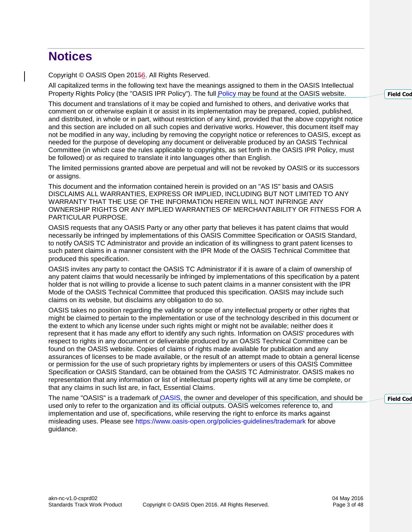# **Notices**

Copyright © OASIS Open 20156. All Rights Reserved.

All capitalized terms in the following text have the meanings assigned to them in the OASIS Intellectual Property Rights Policy (the "OASIS IPR Policy"). The full [Policy](https://www.oasis-open.org/policies-guidelines/ipr) may be found at the OASIS website.

This document and translations of it may be copied and furnished to others, and derivative works that comment on or otherwise explain it or assist in its implementation may be prepared, copied, published, and distributed, in whole or in part, without restriction of any kind, provided that the above copyright notice and this section are included on all such copies and derivative works. However, this document itself may not be modified in any way, including by removing the copyright notice or references to OASIS, except as needed for the purpose of developing any document or deliverable produced by an OASIS Technical Committee (in which case the rules applicable to copyrights, as set forth in the OASIS IPR Policy, must be followed) or as required to translate it into languages other than English.

The limited permissions granted above are perpetual and will not be revoked by OASIS or its successors or assigns.

This document and the information contained herein is provided on an "AS IS" basis and OASIS DISCLAIMS ALL WARRANTIES, EXPRESS OR IMPLIED, INCLUDING BUT NOT LIMITED TO ANY WARRANTY THAT THE USE OF THE INFORMATION HEREIN WILL NOT INFRINGE ANY OWNERSHIP RIGHTS OR ANY IMPLIED WARRANTIES OF MERCHANTABILITY OR FITNESS FOR A PARTICULAR PURPOSE.

OASIS requests that any OASIS Party or any other party that believes it has patent claims that would necessarily be infringed by implementations of this OASIS Committee Specification or OASIS Standard, to notify OASIS TC Administrator and provide an indication of its willingness to grant patent licenses to such patent claims in a manner consistent with the IPR Mode of the OASIS Technical Committee that produced this specification.

OASIS invites any party to contact the OASIS TC Administrator if it is aware of a claim of ownership of any patent claims that would necessarily be infringed by implementations of this specification by a patent holder that is not willing to provide a license to such patent claims in a manner consistent with the IPR Mode of the OASIS Technical Committee that produced this specification. OASIS may include such claims on its website, but disclaims any obligation to do so.

OASIS takes no position regarding the validity or scope of any intellectual property or other rights that might be claimed to pertain to the implementation or use of the technology described in this document or the extent to which any license under such rights might or might not be available; neither does it represent that it has made any effort to identify any such rights. Information on OASIS' procedures with respect to rights in any document or deliverable produced by an OASIS Technical Committee can be found on the OASIS website. Copies of claims of rights made available for publication and any assurances of licenses to be made available, or the result of an attempt made to obtain a general license or permission for the use of such proprietary rights by implementers or users of this OASIS Committee Specification or OASIS Standard, can be obtained from the OASIS TC Administrator. OASIS makes no representation that any information or list of intellectual property rights will at any time be complete, or that any claims in such list are, in fact, Essential Claims.

The name "OASIS" is a trademark of [OASIS,](https://www.oasis-open.org/) the owner and developer of this specification, and should be used only to refer to the organization and its official outputs. OASIS welcomes reference to, and implementation and use of, specifications, while reserving the right to enforce its marks against misleading uses. Please see<https://www.oasis-open.org/policies-guidelines/trademark> for above guidance.

**Field** Cod

**Field** Cod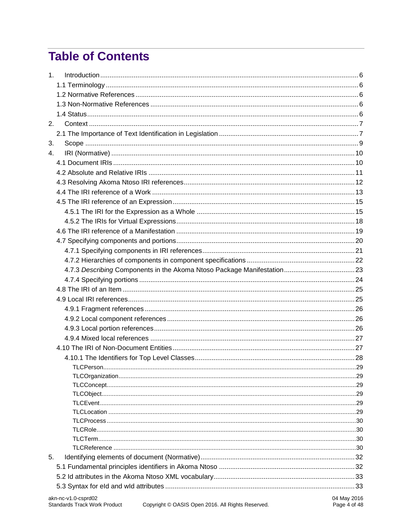# **Table of Contents**

| 1. |                                         |  |
|----|-----------------------------------------|--|
|    |                                         |  |
|    |                                         |  |
|    |                                         |  |
|    |                                         |  |
| 2. |                                         |  |
|    |                                         |  |
| 3. |                                         |  |
| 4. |                                         |  |
|    |                                         |  |
|    |                                         |  |
|    |                                         |  |
|    |                                         |  |
|    |                                         |  |
|    |                                         |  |
|    |                                         |  |
|    |                                         |  |
|    |                                         |  |
|    |                                         |  |
|    |                                         |  |
|    |                                         |  |
|    |                                         |  |
|    |                                         |  |
|    |                                         |  |
|    |                                         |  |
|    |                                         |  |
|    |                                         |  |
|    |                                         |  |
|    |                                         |  |
|    |                                         |  |
|    |                                         |  |
|    |                                         |  |
|    |                                         |  |
|    |                                         |  |
|    |                                         |  |
|    |                                         |  |
|    |                                         |  |
|    |                                         |  |
|    |                                         |  |
| 5. |                                         |  |
|    |                                         |  |
|    |                                         |  |
|    |                                         |  |
|    | akn no $v_1$ 0 conrd02<br>$04$ May 2016 |  |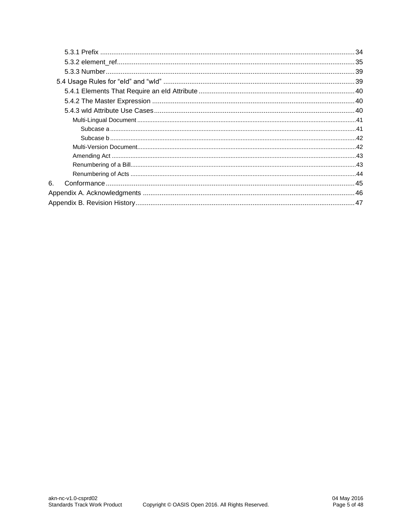| 6. |  |  |  |
|----|--|--|--|
|    |  |  |  |
|    |  |  |  |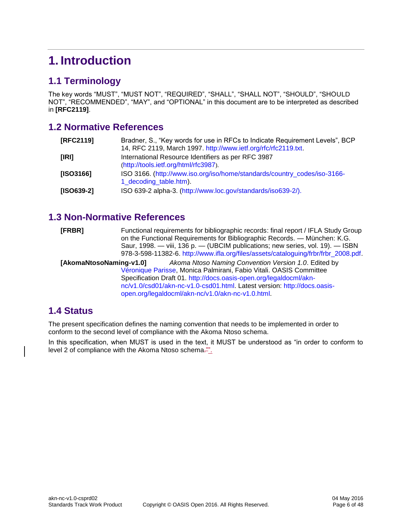# <span id="page-5-0"></span>**1. Introduction**

### <span id="page-5-1"></span>**1.1 Terminology**

The key words "MUST", "MUST NOT", "REQUIRED", "SHALL", "SHALL NOT", "SHOULD", "SHOULD NOT", "RECOMMENDED", "MAY", and "OPTIONAL" in this document are to be interpreted as described in **[\[RFC2119\]](#page-5-5)**.

### <span id="page-5-2"></span>**1.2 Normative References**

<span id="page-5-5"></span>

| [RFC2119]    | Bradner, S., "Key words for use in RFCs to Indicate Requirement Levels", BCP<br>14, RFC 2119, March 1997. http://www.ietf.org/rfc/rfc2119.txt. |
|--------------|------------------------------------------------------------------------------------------------------------------------------------------------|
| [IRI]        | International Resource Identifiers as per RFC 3987<br>(http://tools.ietf.org/html/rfc3987).                                                    |
| [ISO3166]    | ISO 3166. (http://www.iso.org/iso/home/standards/country_codes/iso-3166-<br>1 decoding table.htm).                                             |
| $[ SO639-2]$ | ISO 639-2 alpha-3. (http://www.loc.gov/standards/iso639-2/).                                                                                   |

### <span id="page-5-3"></span>**1.3 Non-Normative References**

| [FRBR] | Functional requirements for bibliographic records: final report / IFLA Study Group  |
|--------|-------------------------------------------------------------------------------------|
|        | on the Functional Requirements for Bibliographic Records. — München: K.G.           |
|        | Saur, 1998. — viii, 136 p. — (UBCIM publications; new series, vol. 19). — ISBN      |
|        | 978-3-598-11382-6. http://www.ifla.org/files/assets/cataloguing/frbr/frbr_2008.pdf. |

**[AkomaNtosoNaming-v1.0]** *Akoma Ntoso Naming Convention Version 1.0*. Edited by Véronique Parisse, Monica Palmirani, Fabio Vitali. OASIS Committee Specification Draft 01. [http://docs.oasis-open.org/legaldocml/akn](http://docs.oasis-open.org/legaldocml/akn-nc/v1.0/csd01/akn-nc-v1.0-csd01.html)[nc/v1.0/csd01/akn-nc-v1.0-csd01.html.](http://docs.oasis-open.org/legaldocml/akn-nc/v1.0/csd01/akn-nc-v1.0-csd01.html) Latest version: [http://docs.oasis](http://docs.oasis-open.org/legaldocml/akn-nc/v1.0/akn-nc-v1.0.html)[open.org/legaldocml/akn-nc/v1.0/akn-nc-v1.0.html.](http://docs.oasis-open.org/legaldocml/akn-nc/v1.0/akn-nc-v1.0.html)

### <span id="page-5-4"></span>**1.4 Status**

The present specification defines the naming convention that needs to be implemented in order to conform to the second level of compliance with the Akoma Ntoso schema.

In this specification, when MUST is used in the text, it MUST be understood as "in order to conform to level 2 of compliance with the Akoma Ntoso schema.<sup>201</sup>.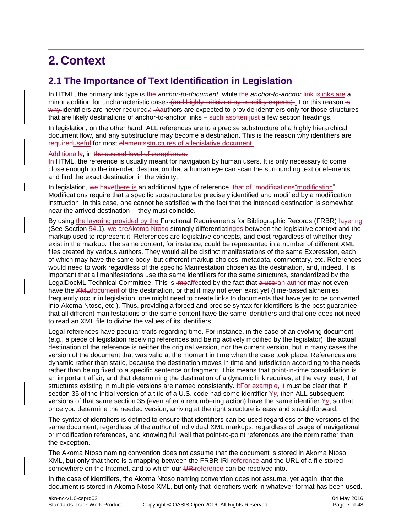# <span id="page-6-0"></span>**2. Context**

### <span id="page-6-1"></span>**2.1 The Importance of Text Identification in Legislation**

In HTML, the primary link type is the *anchor-to-document*, while the *anchor-to-anchor* link islinks are a minor addition for uncharacteristic cases (and highly criticized by usability experts). For this reason is why identifiers are never required.: - Aauthors are expected to provide identifiers only for those structures that are likely destinations of anchor-to-anchor links – such asoften just a few section headings.

In legislation, on the other hand, ALL references are to a precise substructure of a highly hierarchical document flow, and any substructure may become a destination. This is the reason why identifiers are requireduseful for most elementsstructures of a legislative document.

#### Additionally, in the second level of compliance.

In HTML, the reference is usually meant for navigation by human users. It is only necessary to come close enough to the intended destination that a human eye can scan the surrounding text or elements and find the exact destination in the vicinity.

In legislation, we have there is an additional type of reference, that of "modifications" modification". Modifications require that a specific substructure be precisely identified and modified by a modification instruction. In this case, one cannot be satisfied with the fact that the intended destination is somewhat near the arrived destination -- they must coincide.

By using the layering provided by the Functional Requirements for Bibliographic Records (FRBR) layering (See Section 54.1), we areAkoma Ntoso strongly differentiatinges between the legislative context and the markup used to represent it. References are legislative concepts, and exist regardless of whether they exist in the markup. The same content, for instance, could be represented in a number of different XML files created by various authors. They would all be distinct manifestations of the same Expression, each of which may have the same body, but different markup choices, metadata, commentary, etc. References would need to work regardless of the specific Manifestation chosen as the destination, and, indeed, it is important that all manifestations use the same identifiers for the same structures, standardized by the LegalDocML Technical Committee. This is impaffected by the fact that a useran author may not even have the XML document of the destination, or that it may not even exist yet (time-based alchemies frequently occur in legislation, one might need to create links to documents that have yet to be converted into Akoma Ntoso, etc.). Thus, providing a forced and precise syntax for identifiers is the best guarantee that all different manifestations of the same content have the same identifiers and that one does not need to read an XML file to divine the values of its identifiers.

Legal references have peculiar traits regarding time. For instance, in the case of an evolving document (e.g., a piece of legislation receiving references and being actively modified by the legislator), the actual destination of the reference is neither the original version, nor the current version, but in many cases the version of the document that was valid at the moment in time when the case took place. References are dynamic rather than static, because the destination moves in time and jurisdiction according to the needs rather than being fixed to a specific sentence or fragment. This means that point-in-time consolidation is an important affair, and that determining the destination of a dynamic link requires, at the very least, that structures existing in multiple versions are named consistently. **If** For example, it must be clear that, if section 35 of the initial version of a title of a U.S. code had some identifier Y*y*, then ALL subsequent versions of that same section 35 (even after a renumbering action) have the same identifier Y*y*, so that once you determine the needed version, arriving at the right structure is easy and straightforward.

The syntax of identifiers is defined to ensure that identifiers can be used regardless of the versions of the same document, regardless of the author of individual XML markups, regardless of usage of navigational or modification references, and knowing full well that point-to-point references are the norm rather than the exception.

The Akoma Ntoso naming convention does not assume that the document is stored in Akoma Ntoso XML, but only that there is a mapping between the FRBR IRI reference and the URL of a file stored somewhere on the Internet, and to which our URIreference can be resolved into.

In the case of identifiers, the Akoma Ntoso naming convention does not assume, yet again, that the document is stored in Akoma Ntoso XML, but only that identifiers work in whatever format has been used.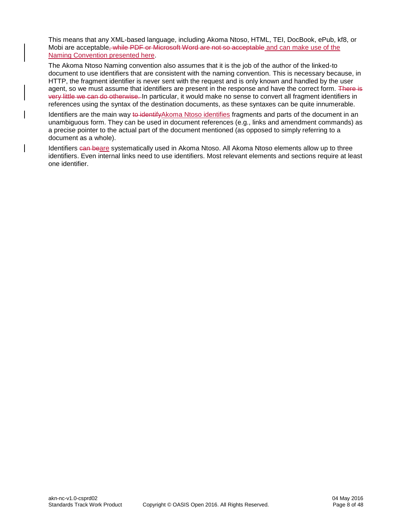This means that any XML-based language, including Akoma Ntoso, HTML, TEI, DocBook, ePub, kf8, or Mobi are acceptable, while PDF or Microsoft Word are not so acceptable and can make use of the Naming Convention presented here.

The Akoma Ntoso Naming convention also assumes that it is the job of the author of the linked-to document to use identifiers that are consistent with the naming convention. This is necessary because, in HTTP, the fragment identifier is never sent with the request and is only known and handled by the user agent, so we must assume that identifiers are present in the response and have the correct form. There is very little we can do otherwise. In particular, it would make no sense to convert all fragment identifiers in references using the syntax of the destination documents, as these syntaxes can be quite innumerable.

Identifiers are the main way to identifyAkoma Ntoso identifies fragments and parts of the document in an unambiguous form. They can be used in document references (e.g., links and amendment commands) as a precise pointer to the actual part of the document mentioned (as opposed to simply referring to a document as a whole).

Identifiers can beare systematically used in Akoma Ntoso. All Akoma Ntoso elements allow up to three identifiers. Even internal links need to use identifiers. Most relevant elements and sections require at least one identifier.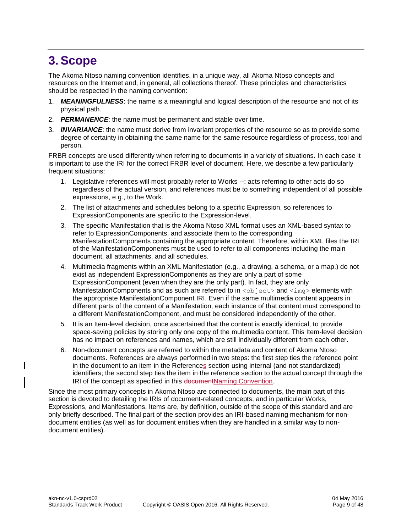# <span id="page-8-0"></span>**3. Scope**

The Akoma Ntoso naming convention identifies, in a unique way, all Akoma Ntoso concepts and resources on the Internet and, in general, all collections thereof. These principles and characteristics should be respected in the naming convention:

- 1. *MEANINGFULNESS*: the name is a meaningful and logical description of the resource and not of its physical path.
- 2. *PERMANENCE*: the name must be permanent and stable over time.
- 3. *INVARIANCE*: the name must derive from invariant properties of the resource so as to provide some degree of certainty in obtaining the same name for the same resource regardless of process, tool and person.

FRBR concepts are used differently when referring to documents in a variety of situations. In each case it is important to use the IRI for the correct FRBR level of document. Here, we describe a few particularly frequent situations:

- 1. Legislative references will most probably refer to Works --: acts referring to other acts do so regardless of the actual version, and references must be to something independent of all possible expressions, e.g., to the Work.
- 2. The list of attachments and schedules belong to a specific Expression, so references to ExpressionComponents are specific to the Expression-level.
- 3. The specific Manifestation that is the Akoma Ntoso XML format uses an XML-based syntax to refer to ExpressionComponents, and associate them to the corresponding ManifestationComponents containing the appropriate content. Therefore, within XML files the IRI of the ManifestationComponents must be used to refer to all components including the main document, all attachments, and all schedules.
- 4. Multimedia fragments within an XML Manifestation (e.g., a drawing, a schema, or a map.) do not exist as independent ExpressionComponents as they are only a part of some ExpressionComponent (even when they are the only part). In fact, they are only ManifestationComponents and as such are referred to in  $\langle$ object> and  $\langle$ imq> elements with the appropriate ManifestationComponent IRI. Even if the same multimedia content appears in different parts of the content of a Manifestation, each instance of that content must correspond to a different ManifestationComponent, and must be considered independently of the other.
- 5. It is an Item-level decision, once ascertained that the content is exactly identical, to provide space-saving policies by storing only one copy of the multimedia content. This Item-level decision has no impact on references and names, which are still individually different from each other.
- 6. Non-document concepts are referred to within the metadata and content of Akoma Ntoso documents. References are always performed in two steps: the first step ties the reference point in the document to an item in the References section using internal (and not standardized) identifiers; the second step ties the item in the reference section to the actual concept through the IRI of the concept as specified in this documentNaming Convention.

Since the most primary concepts in Akoma Ntoso are connected to documents, the main part of this section is devoted to detailing the IRIs of document-related concepts, and in particular Works, Expressions, and Manifestations. Items are, by definition, outside of the scope of this standard and are only briefly described. The final part of the section provides an IRI-based naming mechanism for nondocument entities (as well as for document entities when they are handled in a similar way to nondocument entities).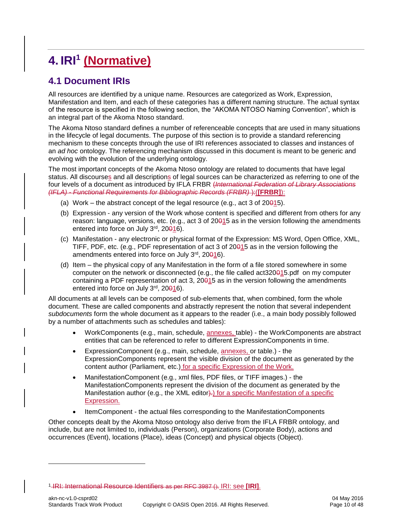# <span id="page-9-0"></span>**4. IRI<sup>1</sup> (Normative)**

### <span id="page-9-1"></span>**4.1 Document IRIs**

All resources are identified by a unique name. Resources are categorized as Work, Expression, Manifestation and Item, and each of these categories has a different naming structure. The actual syntax of the resource is specified in the following section, the "AKOMA NTOSO Naming Convention", which is an integral part of the Akoma Ntoso standard.

The Akoma Ntoso standard defines a number of referenceable concepts that are used in many situations in the lifecycle of legal documents. The purpose of this section is to provide a standard referencing mechanism to these concepts through the use of IRI references associated to classes and instances of an *ad hoc* ontology. The referencing mechanism discussed in this document is meant to be generic and evolving with the evolution of the underlying ontology.

The most important concepts of the Akoma Ntoso ontology are related to documents that have legal status. All discourses and all descriptions of legal sources can be characterized as referring to one of the four levels of a document as introduced by IFLA FRBR (*International Federation of Library Associations (IFLA) - Functional Requirements for Bibliographic Records (FRBR)* ):(**[FRBR]**):

- (a) Work the abstract concept of the legal resource (e.g., act 3 of  $20015$ ).
- (b) Expression any version of the Work whose content is specified and different from others for any reason: language, versions, etc. (e.g., act 3 of 20015 as in the version following the amendments entered into force on July 3rd, 20<del>0</del>16).
- (c) Manifestation any electronic or physical format of the Expression: MS Word, Open Office, XML, TIFF, PDF, etc. (e.g., PDF representation of act 3 of 20015 as in the version following the amendments entered into force on July 3rd, 20016).
- (d) Item the physical copy of any Manifestation in the form of a file stored somewhere in some computer on the network or disconnected (e.g., the file called act320015.pdf on my computer containing a PDF representation of act 3, 20015 as in the version following the amendments entered into force on July 3rd, 20016).

All documents at all levels can be composed of sub-elements that, when combined, form the whole document. These are called components and abstractly represent the notion that several independent *subdocuments* form the whole document as it appears to the reader (i.e., a main body possibly followed by a number of attachments such as schedules and tables):

- WorkComponents (e.g., main, schedule, annexes, table) the WorkComponents are abstract entities that can be referenced to refer to different ExpressionComponents in time.
- ExpressionComponent (e.g., main, schedule, annexes, or table.) the ExpressionComponents represent the visible division of the document as generated by the content author (Parliament, etc.) for a specific Expression of the Work.
- ManifestationComponent (e.g., xml files, PDF files, or TIFF images.) the ManifestationComponents represent the division of the document as generated by the Manifestation author (e.g., the XML editor). for a specific Manifestation of a specific Expression.
- ItemComponent the actual files corresponding to the ManifestationComponents

Other concepts dealt by the Akoma Ntoso ontology also derive from the IFLA FRBR ontology, and include, but are not limited to, individuals (Person), organizations (Corporate Body), actions and occurrences (Event), locations (Place), ideas (Concept) and physical objects (Object).

l

<sup>1</sup> IRI: International Resource Identifiers as per RFC 3987 (). IRI: see **[IRI]**.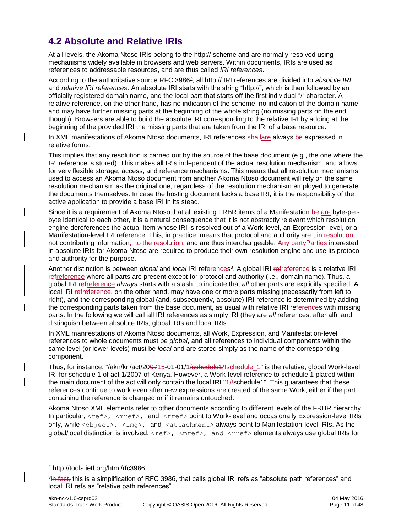### <span id="page-10-0"></span>**4.2 Absolute and Relative IRIs**

At all levels, the Akoma Ntoso IRIs belong to the http:// scheme and are normally resolved using mechanisms widely available in browsers and web servers. Within documents, IRIs are used as references to addressable resources, and are thus called *IRI references*.

According to the authoritative source RFC 3986<sup>2</sup>, all http:// IRI references are divided into *absolute IRI* and *relative IRI references*. An absolute IRI starts with the string "http://", which is then followed by an officially registered domain name, and the local part that starts off the first individual "/" character. A relative reference, on the other hand, has no indication of the scheme, no indication of the domain name, and may have further missing parts at the beginning of the whole string (no missing parts on the end, though). Browsers are able to build the absolute IRI corresponding to the relative IRI by adding at the beginning of the provided IRI the missing parts that are taken from the IRI of a base resource.

In XML manifestations of Akoma Ntoso documents, IRI references shallare always be expressed in relative forms.

This implies that any resolution is carried out by the source of the base document (e.g., the one where the IRI reference is stored). This makes all IRIs independent of the actual resolution mechanism, and allows for very flexible storage, access, and reference mechanisms. This means that all resolution mechanisms used to access an Akoma Ntoso document from another Akoma Ntoso document will rely on the same resolution mechanism as the original one, regardless of the resolution mechanism employed to generate the documents themselves. In case the hosting document lacks a base IRI, it is the responsibility of the active application to provide a base IRI in its stead.

Since it is a requirement of Akoma Ntoso that all existing FRBR items of a Manifestation be are byte-perbyte identical to each other, it is a natural consequence that it is not abstractly relevant which resolution engine dereferences the actual Item whose IRI is resolved out of a Work-level, an Expression-level, or a Manifestation-level IRI reference. This, in practice, means that protocol and authority are  $\frac{1}{2}$  in resolution, not contributing information– to the resolution, and are thus interchangeable. Any partyParties interested in absolute IRIs for Akoma Ntoso are required to produce their own resolution engine and use its protocol and authority for the purpose.

Another distinction is between *global* and *local* IRI references 3 . A global IRI refreference is a relative IRI refreference where all parts are present except for protocol and authority (i.e., domain name). Thus, a global IRI refreference *always* starts with a slash, to indicate that *all* other parts are explicitly specified. A local IRI refreference, on the other hand, may have one or more parts missing (necessarily from left to right), and the corresponding global (and, subsequently, absolute) IRI reference is determined by adding the corresponding parts taken from the base document, as usual with relative IRI references with missing parts. In the following we will call all IRI references as simply IRI (they are *all* references, after all), and distinguish between absolute IRIs, global IRIs and local IRIs.

In XML manifestations of Akoma Ntoso documents, all Work, Expression, and Manifestation-level references to whole documents must be *global*, and all references to individual components within the same level (or lower levels) must be *local* and are stored simply as the name of the corresponding component.

Thus, for instance, "/akn/kn/act/200715-01-01/1/schedule1/!schedule 1" is the relative, global Work-level IRI for schedule 1 of act 1/2007 of Kenya. However, a Work-level reference to schedule 1 placed within the main document of the act will only contain the local IRI "1/!schedule1". This guarantees that these references continue to work even after new expressions are created of the same Work, either if the part containing the reference is changed or if it remains untouched.

Akoma Ntoso XML elements refer to other documents according to different levels of the FRBR hierarchy. In particular,  $\langle \text{ref} \rangle$ ,  $\langle \text{mref} \rangle$ , and  $\langle \text{rref} \rangle$  point to Work-level and occasionally Expression-level IRIs only, while <object>, <img>, and <attachment> always point to Manifestation-level IRIs. As the global/local distinction is involved,  $\langle$ ref>,  $\langle$ mref>, and  $\langle$ rref> elements always use global IRIs for

l

<sup>2</sup> <http://tools.ietf.org/html/rfc3986>

<sup>&</sup>lt;sup>3</sup>i<del>n fact,</del> this is a simplification of RFC 3986, that calls global IRI refs as "absolute path references" and local IRI refs as "relative path references".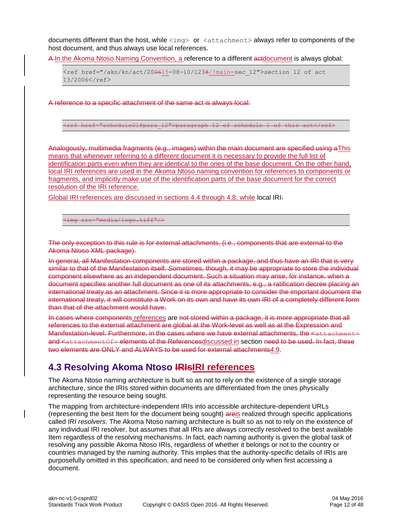documents different than the host, while <img> or <attachment> always refer to components of the host document, and thus always use local references.

A-In the Akoma Ntoso Naming Convention, a reference to a different actdocument is always global:

<ref href="/akn/kn/act/200615-08-10/123#/!main~sec\_12">section 12 of act 13/2006</ref>

A reference to a specific attachment of the same act is always local:

<ref href="schedule01#para\_12">paragraph 12 of schedule 1 of this act</ref>

Analogously, multimedia fragments (e.g., images) within the main document are specified using aThis means that whenever referring to a different document it is necessary to provide the full list of identification parts even when they are identical to the ones of the base document. On the other hand, local IRI references are used in the Akoma Ntoso naming convention for references to components or fragments, and implicitly make use of the identification parts of the base document for the correct resolution of the IRI reference.

Global IRI references are discussed in sections 4.4 through 4.8, while local IRI:

<img src="media/logo.tiff"/>

The only exception to this rule is for external attachments, (i.e., components that are external to the Akoma Ntoso XML package).

In general, all Manifestation components are stored within a package, and thus have an IRI that is very similar to that of the Manifestation itself. Sometimes, though, it may be appropriate to store the individual component elsewhere as an independent document. Such a situation may arise, for instance, when a document specifies another full document as one of its attachments, e.g., a ratification decree placing an international treaty as an attachment. Since it is more appropriate to consider the important document the international treaty, it will constitute a Work on its own and have its own IRI of a completely different form than that of the attachment would have.

In cases where components references are not stored within a package, it is more appropriate that all references to the external attachment are global at the Work-level as well as at the Expression and Manifestation-level. Furthermore, in the cases where we have external attachments, the <attachme and <attachmentOf> elements of the Referencesdiscussed in section need to be used. In fact, these two elements are ONLY and ALWAYS to be used for external attachments4.9.

### <span id="page-11-0"></span>**4.3 Resolving Akoma Ntoso IRIsIRI references**

The Akoma Ntoso naming architecture is built so as not to rely on the existence of a single storage architecture, since the IRIs stored within documents are differentiated from the ones physically representing the resource being sought.

The mapping from architecture-independent IRIs into accessible architecture-dependent URLs (representing the best Item for the document being sought) areis realized through specific applications called *IRI resolvers*. The Akoma Ntoso naming architecture is built so as not to rely on the existence of any individual IRI resolver, but assumes that all IRIs are always correctly resolved to the best available Item regardless of the resolving mechanisms. In fact, each naming authority is given the global task of resolving any possible Akoma Ntoso IRIs, regardless of whether it belongs or not to the country or countries managed by the naming authority. This implies that the authority-specific details of IRIs are purposefully omitted in this specification, and need to be considered only when first accessing a document.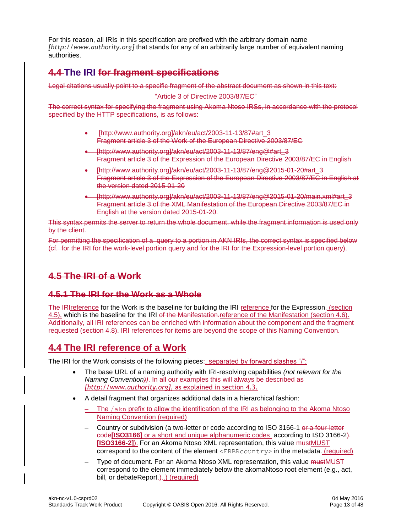For this reason, all IRIs in this specification are prefixed with the arbitrary domain name *[http://www.authority.org]* that stands for any of an arbitrarily large number of equivalent naming authorities.

### **4.4 The IRI for fragment specifications**

Legal citations usually point to a specific fragment of the abstract document as shown in this text:

"Article 3 of Directive 2003/87/EC"

The correct syntax for specifying the fragment using Akoma Ntoso IRSs, in accordance with the protocol specified by the HTTP specifications, is as follows:

- [http://www.authority.org]/akn/eu/act/2003-11-13/87#art\_3 Fragment article 3 of the Work of the European Directive 2003/87/EC
- [http://www.authority.org]/akn/eu/act/2003-11-13/87/eng@#art\_3 Fragment article 3 of the Expression of the European Directive 2003/87/EC in English
- [http://www.authority.org]/akn/eu/act/2003-11-13/87/eng@2015-01-20#art\_3 Fragment article 3 of the Expression of the European Directive 2003/87/EC in English at the version dated 2015-01-20
- [http://www.authority.org]/akn/eu/act/2003-11-13/87/eng@2015-01-20/main.xml#art\_3 Fragment article 3 of the XML Manifestation of the European Directive 2003/87/EC in English at the version dated 2015-01-20.

This syntax permits the server to return the whole document, while the fragment information is used only by the client.

For permitting the specification of a query to a portion in AKN IRIs, the correct syntax is specified below (cf. for the IRI for the work-level portion query and for the IRI for the Expression-level portion query).

### **4.5 The IRI of a Work**

### **4.5.1 The IRI for the Work as a Whole**

The IRI reference for the Work is the baseline for building the IRI reference for the Expression, (section 4.5), which is the baseline for the IRI of the Manifestation.reference of the Manifestation (section 4.6). Additionally, all IRI references can be enriched with information about the component and the fragment requested (section 4.8). IRI references for items are beyond the scope of this Naming Convention.

### <span id="page-12-0"></span>**4.4 The IRI reference of a Work**

The IRI for the Work consists of the following pieces:, separated by forward slashes "/":

- The base URL of a naming authority with IRI-resolving capabilities *(not relevant for the Naming Convention))*. In all our examples this will always be described as *[http://www.authority.org]*, as explained in section 4.3.
- A detail fragment that organizes additional data in a hierarchical fashion:
	- $-$  The  $/akn$  prefix to allow the identification of the IRI as belonging to the Akoma Ntoso Naming Convention (required)
	- Country or subdivision (a two-letter or code according to ISO 3166-1 or a four-letter code**[ISO3166]** or a short and unique alphanumeric codes according to ISO 3166-2). **[ISO3166-2]**). For an Akoma Ntoso XML representation, this value mustMUST correspond to the content of the element  $\langle$ FRBRcountry> in the metadata. (required)
	- Type of document. For an Akoma Ntoso XML representation, this value mustMUST correspond to the element immediately below the akomaNtoso root element (e.g., act, bill, or debateReport.)..) (required)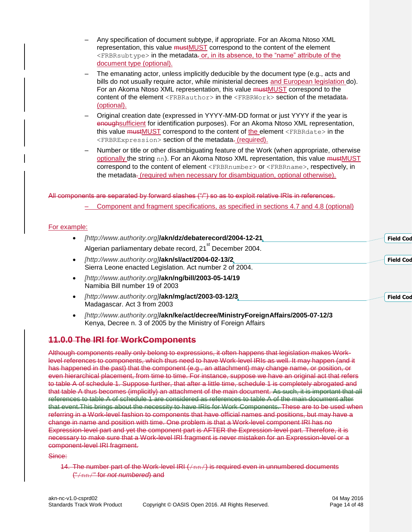- Any specification of document subtype, if appropriate. For an Akoma Ntoso XML representation, this value mustMUST correspond to the content of the element <FRBRsubtype> in the metadata-or, in its absence, to the "name" attribute of the document type (optional).
- The emanating actor, unless implicitly deducible by the document type (e.g., acts and bills do not usually require actor, while ministerial decrees and European legislation do). For an Akoma Ntoso XML representation, this value mustMUST correspond to the content of the element  $\leq$ FRBRauthor> in the  $\leq$ FRBRWork> section of the metadata-(optional).
- Original creation date (expressed in YYYY-MM-DD format or just YYYY if the year is enoughsufficient for identification purposes). For an Akoma Ntoso XML representation, this value mustMUST correspond to the content of the element <FRBRdate> in the <FRBRExpression> section of the metadata. (required).
- Number or title or other disambiguating feature of the Work (when appropriate, otherwise optionally the string nn). For an Akoma Ntoso XML representation, this value mustMUST correspond to the content of element <FRBRnumber> or <FRBRname>, respectively, in the metadata<sub>r</sub> (required when necessary for disambiguation, optional otherwise).

#### All components are separated by forward slashes ("/") so as to exploit relative IRIs in references.

– Component and fragment specifications, as specified in sections 4.7 and 4.8 (optional)

#### For example:

| [http://www.authority.org]/akn/dz/debaterecord/2004-12-21.                                                    | <b>Field Cod</b> |
|---------------------------------------------------------------------------------------------------------------|------------------|
| Algerian parliamentary debate record, 21 <sup>st</sup> December 2004.                                         |                  |
| [http://www.authority.org]/akn/sl/act/2004-02-13/2<br>Sierra Leone enacted Legislation. Act number 2 of 2004. | <b>Field Cod</b> |
| [http://www.authority.org]/akn/ng/bill/2003-05-14/19<br>Namibia Bill number 19 of 2003                        |                  |
| [http://www.authority.org]/akn/mg/act/2003-03-12/3                                                            | <b>Field Cod</b> |

- *[http://www.authority.org]***/akn/mg/act/2003-03-12/[3](http://www.authority.org/mg/act/2003-03-12/3)** Madagascar. Act 3 from 2003
- *[http://www.authority.org]***/akn/ke/act/decree/MinistryForeignAffairs/2005-07-12/3** Kenya, Decree n. 3 of 2005 by the Ministry of Foreign Affairs

### **11.0.0 The IRI for WorkComponents**

Although components really only belong to expressions, it often happens that legislation makes Worklevel references to components, which thus need to have Work-level IRIs as well. It may happen (and it has happened in the past) that the component (e.g., an attachment) may change name, or position, or even hierarchical placement, from time to time. For instance, suppose we have an original act that refers to table A of schedule 1. Suppose further, that after a little time, schedule 1 is completely abrogated and that table A thus becomes (implicitly) an attachment of the main document. As such, it is important that all references to table A of schedule 1 are considered as references to table A of the main document after that event. This brings about the necessity to have IRIs for Work Components. These are to be used when referring in a Work-level fashion to components that have official names and positions, but may have a change in name and position with time. One problem is that a Work-level component IRI has no Expression-level part and yet the component part is AFTER the Expression-level part. Therefore, it is necessary to make sure that a Work-level IRI fragment is never mistaken for an Expression-level or a component-level IRI fragment.

Since:

14. The number part of the Work-level  $IRI(fnn/)$  is required even in unnumbered documents ("/nn/" for *not numbered*) and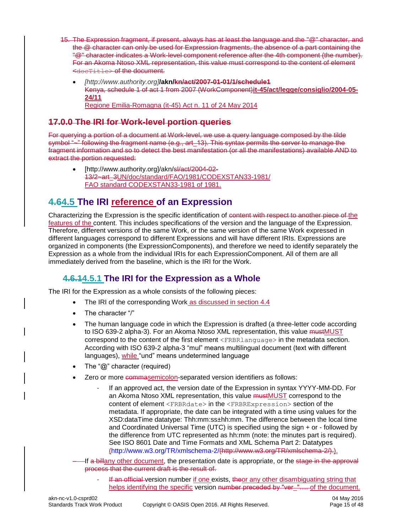- 15. The Expression fragment, if present, always has at least the language and the "@" character, and the @ character can only be used for Expression fragments, the absence of a part containing the "@" character indicates a Work-level component reference after the 4th component (the number). For an Akoma Ntoso XML representation, this value must correspond to the content of element  $\overline{\phantom{a}}$   $\overline{\phantom{a}}$   $\overline{\phantom{a}}$  and  $\overline{\phantom{a}}$  and  $\overline{\phantom{a}}$  and  $\overline{\phantom{a}}$ 
	- *[http://www.authority.org]***/akn/kn/act/2007-01-01/1/schedule1** Kenya, schedule 1 of act 1 from 2007 (WorkComponent)**it-45/act/legge/consiglio/2004-05- 24/11** Regione Emilia-Romagna (it-45) Act n. 11 of 24 May 2014

### **17.0.0 The IRI for Work-level portion queries**

For querying a portion of a document at Work-level, we use a query language composed by the tilde symbol "--" following the fragment name (e.g., art\_13). This syntax permits the server to manage the fragment information and so to detect the best manifestation (or all the manifestations) available AND to extract the portion requested:

 [http://www.authority.org]/akn/sl/act/2004-02- 13/2~art\_3UN/doc/standard/FAO/1981/CODEXSTAN33-1981/ FAO standard CODEXSTAN33-1981 of 1981.

### <span id="page-14-0"></span>**4.64.5 The IRI reference of an Expression**

Characterizing the Expression is the specific identification of content with respect to another piece of the features of the content. This includes specifications of the version and the language of the Expression. Therefore, different versions of the same Work, or the same version of the same Work expressed in different languages correspond to different Expressions and will have different IRIs. Expressions are organized in components (the ExpressionComponents), and therefore we need to identify separately the Expression as a whole from the individual IRIs for each ExpressionComponent. All of them are all immediately derived from the baseline, which is the IRI for the Work.

### <span id="page-14-1"></span>**4.6.14.5.1 The IRI for the Expression as a Whole**

The IRI for the Expression as a whole consists of the following pieces:

- The IRI of the corresponding Work as discussed in section 4.4
- The character "/"
- The human language code in which the Expression is drafted (a three-letter code according to ISO 639-2 alpha-3). For an Akoma Ntoso XML representation, this value mustMUST correspond to the content of the first element <FRBRlanguage> in the metadata section. According with ISO 639-2 alpha-3 "mul" means multilingual document (text with different languages), while "und" means undetermined language
- The "@" character (required)
- Zero or more commasemicolon-separated version identifiers as follows:
	- If an approved act, the version date of the Expression in syntax YYYY-MM-DD. For an Akoma Ntoso XML representation, this value **mustMUST** correspond to the content of element <FRBRdate> in the <FRBRExpression> section of the metadata. If appropriate, the date can be integrated with a time using values for the XSD:dataTime datatype: Thh:mm:ss±hh:mm. The difference between the local time and Coordinated Universal Time (UTC) is specified using the sign + or - followed by the difference from UTC represented as hh:mm (note: the minutes part is required). See ISO 8601 Date and Time Formats and XML Schema Part 2: Datatypes [\(http://www.w3.org/TR/xmlschema-2/\(](http://www.w3.org/TR/xmlschema-2/)http://www.w3.org/TR/xmlschema-2/).).

-If a billany other document, the presentation date is appropriate, or the stage in the approval process that the current draft is the result of.

If an official version number if one exists, theor any other disambiguating string that helps identifying the specific version number preceded by "ver\_".... of the document.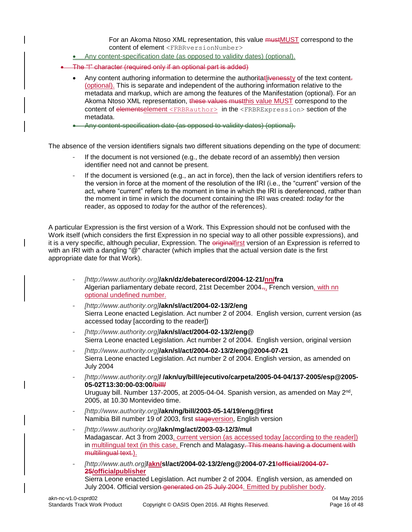For an Akoma Ntoso XML representation, this value mustMUST correspond to the content of element <FRBRversionNumber>

- Any content-specification date (as opposed to validity dates) (optional).
- The "!" character (required only if an optional part is added)
	- Any content authoring information to determine the authoritatlivenessty of the text content. (optional). This is separate and independent of the authoring information relative to the metadata and markup, which are among the features of the Manifestation (optional). For an Akoma Ntoso XML representation, these values must this value MUST correspond to the content of elementselement <FRBRauthor> in the <FRBRExpression> section of the metadata.
	- Any content-specification date (as opposed to validity dates) (optional).

The absence of the version identifiers signals two different situations depending on the type of document:

- If the document is not versioned (e.g., the debate record of an assembly) then version identifier need not and cannot be present.
- If the document is versioned (e.g., an act in force), then the lack of version identifiers refers to the version in force at the moment of the resolution of the IRI (i.e., the "current" version of the act, where "current" refers to the moment in time in which the IRI is dereferenced, rather than the moment in time in which the document containing the IRI was created: *today* for the reader, as opposed to *today* for the author of the references).

A particular Expression is the first version of a Work. This Expression should not be confused with the Work itself (which considers the first Expression in no special way to all other possible expressions), and it is a very specific, although peculiar, Expression. The eriginalfirst version of an Expression is referred to with an IRI with a dangling "@" character (which implies that the actual version date is the first appropriate date for that Work).

- *[http://www.authority.org]***/akn/dz/debaterecord/2004-12-21/nn/fra** Algerian parliamentary debate record, 21st December 2004 $\frac{1}{2}$ , French version, with nn optional undefined number.
- *[http://www.authority.org]***/akn/sl/act/2004-02-13/2/eng** Sierra Leone enacted Legislation. Act number 2 of 2004. English version, current version (as accessed today [according to the reader])
- *[http://www.authority.org]***/akn/sl/act/2004-02-13/2/eng@** Sierra Leone enacted Legislation. Act number 2 of 2004. English version, original version
- *[http://www.authority.org]***/akn/sl/act/2004-02-13/2/eng@2004-07-21** Sierra Leone enacted Legislation. Act number 2 of 2004. English version, as amended on July 2004
- *[http://www.authority.org]***/ /akn/uy/bill/ejecutivo/carpeta/2005-04-04/137-2005/esp@2005- 05-02T13:30:00-03:00/bill/** Uruguay bill. Number 137-2005, at 2005-04-04. Spanish version, as amended on May  $2<sup>nd</sup>$ , 2005, at 10.30 Montevideo time.
- *[http://www.authority.org]***/akn/ng/bill/2003-05-14/19/eng@first** Namibia Bill number 19 of 2003, first stageversion, English version
- *[http://www.authority.org]***/akn/mg/act/2003-03-12/3/mul** Madagascar. Act 3 from 2003, current version (as accessed today [according to the reader]) in multilingual text (in this case, French and Malagasy. This means having a document with multilingual text.).

- *[http://www.auth.org]***/akn/sl/act/2004-02-13/2/eng@2004-07-21!official/2004-07- 25/officialpublisher** Sierra Leone enacted Legislation. Act number 2 of 2004. English version, as amended on July 2004. Official version-generated on 25 July 2004. Emitted by publisher body.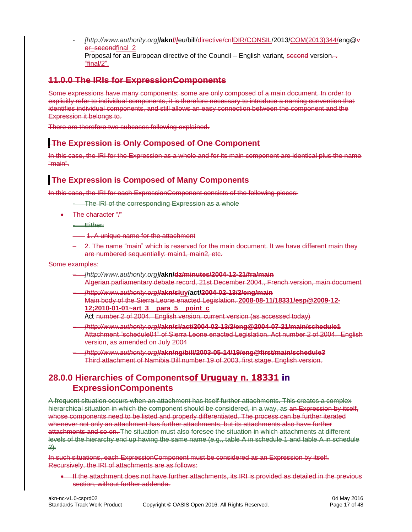- *[http://www.authority.org]***/akn/**/**/**eu/bill/directive/cnlDIR/CONSIL/2013/COM(2013)344/eng@v er secondfinal 2 Proposal for an European directive of the Council – English variant, second version... "final/2".

### **11.0.0 The IRIs for ExpressionComponents**

Some expressions have many components; some are only composed of a main document. In order to explicitly refer to individual components, it is therefore necessary to introduce a naming convention that identifies individual components, and still allows an easy connection between the component and the Expression it belongs to.

There are therefore two subcases following explained.

#### **The Expression is Only Composed of One Component**

In this case, the IRI for the Expression as a whole and for its main component are identical plus the name "main".

#### **The Expression is Composed of Many Components**

In this case, the IRI for each ExpressionComponent consists of the following pieces:

- The IRI of the corresponding Expression as a whole
- The character "/"
	- Either:
	- 1. A unique name for the attachment
	- 2. The name "main" which is reserved for the main document. It we have different main they are numbered sequentially: main1, main2, etc.

#### Some examples:

- *[http://www.authority.org]***/akn/dz/minutes/2004-12-21/fra/main** Algerian parliamentary debate record, 21st December 2004., French version, main document
- *[http://www.authority.org]***/akn/sluy/act/2004-02-13/2/eng/main** Main body of the Sierra Leone enacted Legislation. **2008-08-11/18331/esp@2009-12- 12;2010-01-01~art\_3\_\_para\_5\_\_point\_c**
	- Act number 2 of 2004. English version, current version (as accessed today)
- *[http://www.authority.org]***/akn/sl/act/2004-02-13/2/eng@2004-07-21/main/schedule1** Attachment "schedule01" of Sierra Leone enacted Legislation. Act number 2 of 2004. English version, as amended on July 2004
- *[http://www.authority.org]***/akn/ng/bill/2003-05-14/19/eng@first/main/schedule3** Third attachment of Namibia Bill number 19 of 2003, first stage, English version.

### **28.0.0 Hierarchies of Componentsof Uruguay n. 18331 in ExpressionComponents**

A frequent situation occurs when an attachment has itself further attachments. This creates a complex hierarchical situation in which the component should be considered, in a way, as an Expression by itself, whose components need to be listed and properly differentiated. The process can be further iterated whenever not only an attachment has further attachments, but its attachments also have further attachments and so on. The situation must also foresee the situation in which attachments at different levels of the hierarchy end up having the same name (e.g., table A in schedule 1 and table A in schedule 2).

In such situations, each ExpressionComponent must be considered as an Expression by itself. Recursively, the IRI of attachments are as follows:

• If the attachment does not have further attachments, its IRI is provided as detailed in the previous section, without further addenda.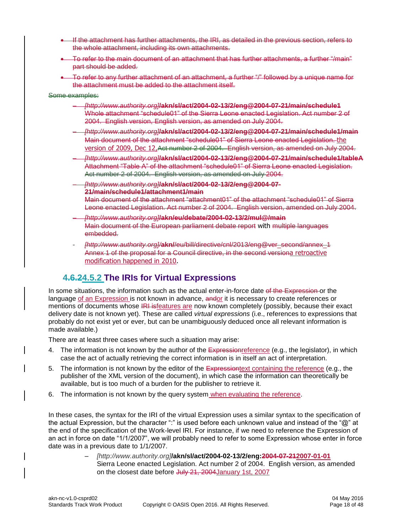- If the attachment has further attachments, the IRI, as detailed in the previous section, refers to the whole attachment, including its own attachments.
- To refer to the main document of an attachment that has further attachments, a further "/main" part should be added.
- To refer to any further attachment of an attachment, a further "/" followed by a unique name for the attachment must be added to the attachment itself.

#### Some examples:

- *[http://www.authority.org]***/akn/sl/act/2004-02-13/2/eng@2004-07-21/main/schedule1** Whole attachment "schedule01" of the Sierra Leone enacted Legislation. Act number 2 of 2004. English version, English version, as amended on July 2004.
- *[http://www.authority.org]***/akn/sl/act/2004-02-13/2/eng@2004-07-21/main/schedule1/main** Main document of the attachment "schedule01" of Sierra Leone enacted Legislation. the version of 2009, Dec 12,Act number 2 of 2004. English version, as amended on July 2004.
- *[http://www.authority.org]***/akn/sl/act/2004-02-13/2/eng@2004-07-21/main/schedule1/tableA** Attachment "Table A" of the attachment "schedule01" of Sierra Leone enacted Legislation. Act number 2 of 2004. English version, as amended on July 2004.
- *[http://www.authority.org]***/akn/sl/act/2004-02-13/2/eng@2004-07- 21/main/schedule1/attachment1/main** Main document of the attachment "attachment01" of the attachment "schedule01" of Sierra Leone enacted Legislation. Act number 2 of 2004. English version, amended on July 2004.
- *[http://www.authority.org]***/akn/eu/debate/2004-02-13/2/mul@/main** Main document of the European parliament debate report with multiple languages embedded.
- *[http://www.authority.org]/***akn/**/eu/bill/directive/cnl/2013/eng@ver\_second/annex\_1 Annex 1 of the proposal for a Council directive, in the second versiona retroactive modification happened in 2010.

### <span id="page-17-0"></span>**4.6.24.5.2 The IRIs for Virtual Expressions**

In some situations, the information such as the actual enter-in-force date of the Expression or the language of an Expression is not known in advance, andor it is necessary to create references or mentions of documents whose IRI isfeatures are now known completely (possibly, because their exact delivery date is not known yet). These are called *virtual expressions* (i.e., references to expressions that probably do not exist yet or ever, but can be unambiguously deduced once all relevant information is made available.)

There are at least three cases where such a situation may arise:

- 4. The information is not known by the author of the  $\overline{\text{Expression}}$  reference (e.g., the legislator), in which case the act of actually retrieving the correct information is in itself an act of interpretation.
- 5. The information is not known by the editor of the Expressiontext containing the reference (e.g., the publisher of the XML version of the document), in which case the information can theoretically be available, but is too much of a burden for the publisher to retrieve it.
- 6. The information is not known by the query system when evaluating the reference.

In these cases, the syntax for the IRI of the virtual Expression uses a similar syntax to the specification of the actual Expression, but the character ":" is used before each unknown value and instead of the "@" at the end of the specification of the Work-level IRI. For instance, if we need to reference the Expression of an act in force on date "1/1/2007", we will probably need to refer to some Expression whose enter in force date was in a previous date to 1/1/2007.

> – *[http://www.authority.org]***/akn/sl/act/2004-02-13/2/eng:2004-07-212007-01-01** Sierra Leone enacted Legislation. Act number 2 of 2004. English version, as amended on the closest date before July 21, 2004January 1st, 2007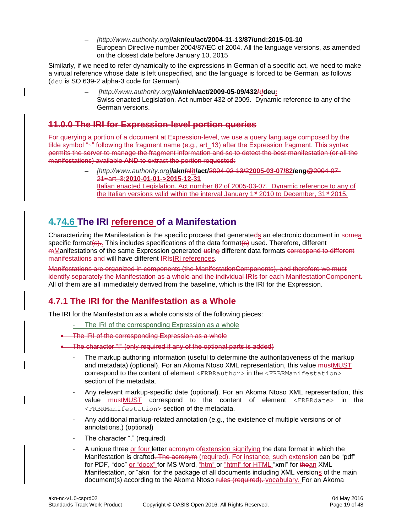– *[http://www.authority.org]***/akn/eu/act/2004-11-13/87/und:2015-01-10** European Directive number 2004/87/EC of 2004. All the language versions, as amended on the closest date before January 10, 2015

Similarly, if we need to refer dynamically to the expressions in German of a specific act, we need to make a virtual reference whose date is left unspecified, and the language is forced to be German, as follows (deu is SO 639-2 alpha-3 code for German).

> – *[http://www.authority.org]***/akn/ch/act/2009-05-09/432/:/deu:** Swiss enacted Legislation. Act number 432 of 2009. Dynamic reference to any of the German versions.

### **11.0.0 The IRI for Expression-level portion queries**

For querying a portion of a document at Expression-level, we use a query language composed by the tilde symbol "--" following the fragment name (e.g., art 13) after the Expression fragment. This syntax permits the server to manage the fragment information and so to detect the best manifestation (or all the manifestations) available AND to extract the portion requested:

> – *[http://www.authority.org]***/akn/**sl**it/act/**2004-02-13/2**2005-03-07/82/eng**@2004-07- 21**~**art\_3**:2010-01-01->2015-12-31** Italian enacted Legislation. Act number 82 of 2005-03-07. Dynamic reference to any of the Italian versions valid within the interval January  $1^{st}$  2010 to December,  $31^{st}$  2015.

### <span id="page-18-0"></span>**4.74.6 The IRI reference of a Manifestation**

Characterizing the Manifestation is the specific process that generateds an electronic document in somea specific format( $\epsilon$ ).. This includes specifications of the data format( $\epsilon$ ) used. Therefore, different mManifestations of the same Expression generated using different data formats correspond to different manifestations and will have different IRIsIRI references.

Manifestations are organized in components (the ManifestationComponents), and therefore we must identify separately the Manifestation as a whole and the individual IRIs for each ManifestationComponent. All of them are all immediately derived from the baseline, which is the IRI for the Expression.

### **4.7.1 The IRI for the Manifestation as a Whole**

The IRI for the Manifestation as a whole consists of the following pieces:

- The IRI of the corresponding Expression as a whole
- **The IRI of the corresponding Expression as a whole**
- The character "!" (only required if any of the optional parts is added)
	- The markup authoring information (useful to determine the authoritativeness of the markup and metadata) (optional). For an Akoma Ntoso XML representation, this value mustMUST correspond to the content of element <FRBRauthor> in the <FRBRManifestation> section of the metadata.
	- Any relevant markup-specific date (optional). For an Akoma Ntoso XML representation, this value **mustMUST** correspond to the content of element <FRBRdate> in the <FRBRManifestation> section of the metadata.
	- Any additional markup-related annotation (e.g., the existence of multiple versions or of annotations.) (optional)
	- The character "." (required)
	- A unique three or four letter acronym of extension signifying the data format in which the Manifestation is drafted. The acronym (required). For instance, such extension can be "pdf" for PDF, "doc" or "docx" for MS Word, <u>"htm" or "html" for HTML</u> "xml" for thean XML Manifestation, or "akn" for the package of all documents including XML versions of the main document(s) according to the Akoma Ntoso rules (required). vocabulary. For an Akoma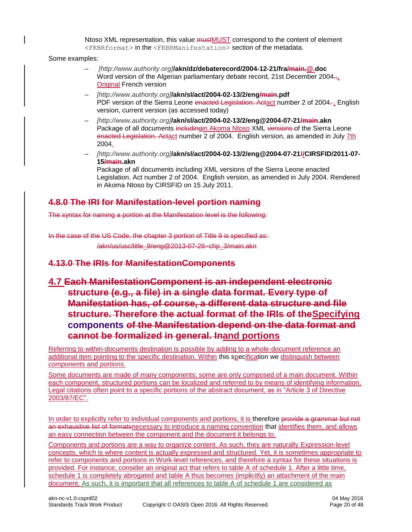Ntoso XML representation, this value mustMUST correspond to the content of element <FRBRformat> in the <FRBRManifestation> section of the metadata.

Some examples:

- *[http://www.authority.org]***/akn/dz/debaterecord/2004-12-21/fra/main.@.doc** Word version of the Algerian parliamentary debate record, 21st December 2004. Original French version
- *[http://www.authority.org]***/akn/sl/act/2004-02-13/2/eng/main.pdf** PDF version of the Sierra Leone enacted Legislation. Actact number 2 of 2004. version, current version (as accessed today)
- *[http://www.authority.org]***/akn/sl/act/2004-02-13/2/eng@2004-07-21/main.akn** Package of all documents includingin Akoma Ntoso XML versions of the Sierra Leone enacted Legislation. Actact number 2 of 2004. English version, as amended in July 7th 2004.
- *[http://www.authority.org]***/akn/sl/act/2004-02-13/2/eng@2004-07-21!/CIRSFID/2011-07- 15/main.akn**

Package of all documents including XML versions of the Sierra Leone enacted Legislation. Act number 2 of 2004. English version, as amended in July 2004. Rendered in Akoma Ntoso by CIRSFID on 15 July 2011.

### <span id="page-19-0"></span>**4.8.0 The IRI for Manifestation-level portion naming**

The syntax for naming a portion at the Manifestation level is the following:

In the case of the US Code, the chapter 3 portion of Title 9 is specified as: /akn/us/usc/title\_9/eng@2013-07-26~chp\_3/main.akn

### **4.13.0 The IRIs for ManifestationComponents**

### **4.7 Each ManifestationComponent is an independent electronic structure (e.g., a file) in a single data format. Every type of Manifestation has, of course, a different data structure and file structure. Therefore the actual format of the IRIs of theSpecifying components of the Manifestation depend on the data format and cannot be formalized in general. Inand portions**

Referring to within-documents destination is possible by adding to a whole-document reference an additional item pointing to the specific destination. Within this specification we distinguish between *components* and *portions*.

Some documents are made of many components; some are only composed of a main document. Within each component, structured portions can be localized and referred to by means of identifying information. Legal citations often point to a specific portions of the abstract document, as in "Article 3 of Directive 2003/87/EC".

In order to explicitly refer to individual components and portions, it is therefore provide a grammar but not an exhaustive list of formatsnecessary to introduce a naming convention that identifies them, and allows an easy connection between the component and the document it belongs to.

Components and portions are a way to organize content. As such, they are naturally Expression-level concepts, which is where content is actually expressed and structured. Yet, it is sometimes appropriate to refer to components and portions in Work-level references, and therefore a syntax for these situations is provided. For instance, consider an original act that refers to table A of schedule 1. After a little time, schedule 1 is completely abrogated and table A thus becomes (implicitly) an attachment of the main document. As such, it is important that all references to table A of schedule 1 are considered as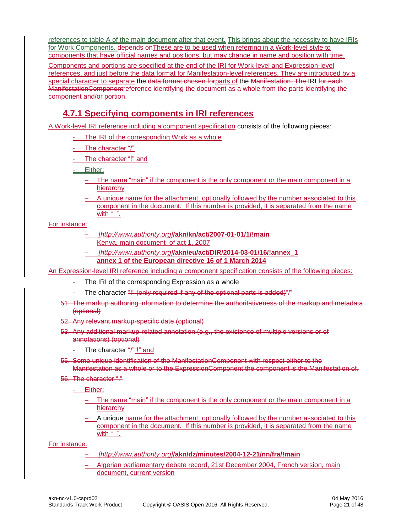references to table A of the main document after that event. This brings about the necessity to have IRIs for Work Components. depends on These are to be used when referring in a Work-level style to components that have official names and positions, but may change in name and position with time.

Components and portions are specified at the end of the IRI for Work-level and Expression-level references, and just before the data format for Manifestation-level references. They are introduced by a special character to separate the data format chosen forparts of the Manifestation. The IRI for each ManifestationComponentreference identifying the document as a whole from the parts identifying the component and/or portion.

### <span id="page-20-0"></span>**4.7.1 Specifying components in IRI references**

A Work-level IRI reference including a component specification consists of the following pieces:

- The IRI of the corresponding Work as a whole
- The character  $\sqrt[n]{n}$
- The character "!" and
- Either:
	- The name "main" if the component is the only component or the main component in a hierarchy
	- A unique name for the attachment, optionally followed by the number associated to this component in the document. If this number is provided, it is separated from the name with  $"$ .

#### For instance:

- *[http://www.authority.org]***/akn/kn/act/2007-01-01/1/!main** Kenya, main document of act 1, 2007
- *[http://www.authority.org]***/akn/eu/act/DIR/2014-03-01/16/!annex\_1 annex 1 of the European directive 16 of 1 March 2014**

An Expression-level IRI reference including a component specification consists of the following pieces:

- The IRI of the corresponding Expression as a whole
- The character "!" (only required if any of the optional parts is added)"/"
- 51. The markup authoring information to determine the authoritativeness of the markup and metadata (optional)
- 52. Any relevant markup-specific date (optional)
- 53. Any additional markup-related annotation (e.g., the existence of multiple versions or of annotations) (optional)
	- The character  $\frac{u}{v}$ "!" and
- 55. Some unique identification of the ManifestationComponent with respect either to the Manifestation as a whole or to the ExpressionComponent the component is the Manifestation of.
- 56. The character "."
	- Either:
		- The name "main" if the component is the only component or the main component in a hierarchy
		- A unique name for the attachment, optionally followed by the number associated to this component in the document. If this number is provided, it is separated from the name with " $"$ .

For instance:

- *[http://www.authority.org]***/akn/dz/minutes/2004-12-21/nn/fra/!main**
- Algerian parliamentary debate record, 21st December 2004, French version, main document, current version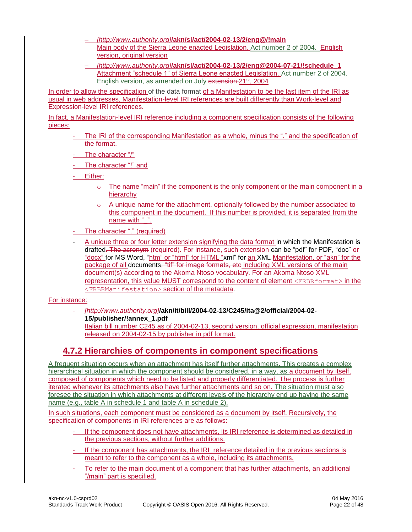- *[http://www.authority.org]***/akn/sl/act/2004-02-13/2/eng@/!main** Main body of the Sierra Leone enacted Legislation. Act number 2 of 2004. English version, original version
- *[http://www.authority.org]***/akn/sl/act/2004-02-13/2/eng@2004-07-21/!schedule\_1** Attachment "schedule 1" of Sierra Leone enacted Legislation. Act number 2 of 2004. English version, as amended on July extension 21<sup>st</sup>, 2004

In order to allow the specification of the data format of a Manifestation to be the last item of the IRI as usual in web addresses, Manifestation-level IRI references are built differently than Work-level and Expression-level IRI references.

In fact, a Manifestation-level IRI reference including a component specification consists of the following pieces:

- The IRI of the corresponding Manifestation as a whole, minus the "." and the specification of the format,
- The character "/"

- The character "!" and

- Either:

- $\circ$  The name "main" if the component is the only component or the main component in a hierarchy
- $\circ$  A unique name for the attachment, optionally followed by the number associated to this component in the document. If this number is provided, it is separated from the name with ".".
- The character "." (required)
- A unique three or four letter extension signifying the data format in which the Manifestation is drafted. The acronym (required). For instance, such extension can be "pdf" for PDF, "doc" or "docx" for MS Word, "htm" or "html" for HTML "xml" for an XML Manifestation, or "akn" for the package of all documents, "tif" for image formats, etc including XML versions of the main document(s) according to the Akoma Ntoso vocabulary. For an Akoma Ntoso XML representation, this value MUST correspond to the content of element <FRBRformat> in the <FRBRManifestation> section of the metadata.

#### For instance:

- *[http://www.authority.org]***[/akn/it/bill/2004-02-13/C245/ita@2/official/2004-02-](mailto:/akn/it/bill/2004-02-13/C245/ita@ver_2/official/2004-02-15/publisher/!annex_1/annex_3~art_12.pdf)**

**[15/publisher/!annex\\_1.pdf](mailto:/akn/it/bill/2004-02-13/C245/ita@ver_2/official/2004-02-15/publisher/!annex_1/annex_3~art_12.pdf)**

Italian bill number C245 as of 2004-02-13, second version, official expression, manifestation released on 2004-02-15 by publisher in pdf format.

### <span id="page-21-0"></span>**4.7.2 Hierarchies of components in component specifications**

A frequent situation occurs when an attachment has itself further attachments. This creates a complex hierarchical situation in which the component should be considered, in a way, as a document by itself, composed of components which need to be listed and properly differentiated. The process is further iterated whenever its attachments also have further attachments and so on. The situation must also foresee the situation in which attachments at different levels of the hierarchy end up having the same name (e.g., table A in schedule 1 and table A in schedule 2).

In such situations, each component must be considered as a document by itself. Recursively, the specification of components in IRI references are as follows:

- If the component does not have attachments, its IRI reference is determined as detailed in the previous sections, without further additions.
- If the component has attachments, the IRI reference detailed in the previous sections is meant to refer to the component as a whole, including its attachments.
- To refer to the main document of a component that has further attachments, an additional "/main" part is specified.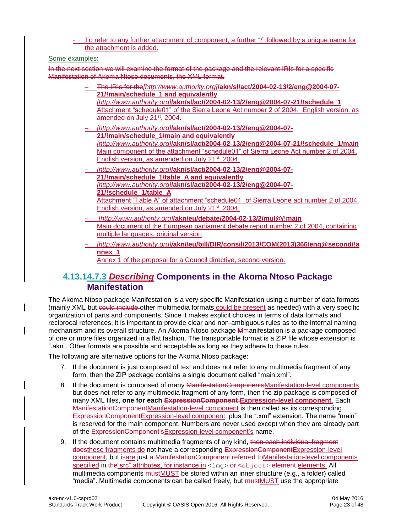To refer to any further attachment of component, a further "/" followed by a unique name for the attachment is added.

#### Some examples:

In the next section we will examine the format of the package and the relevant IRIs for a specific Manifestation of Akoma Ntoso documents, the XML format.

- The IRIs for the*[http://www.authority.org]***/akn/sl/act/2004-02-13/2/eng@2004-07- 21/!main/schedule\_1 and equivalently** *[http://www.authority.org]***/akn/sl/act/2004-02-13/2/eng@2004-07-21/!schedule\_1** Attachment "schedule01" of the Sierra Leone Act number 2 of 2004. English version, as amended on July 21<sup>st</sup>, 2004.
- *[http://www.authority.org]***/akn/sl/act/2004-02-13/2/eng@2004-07- 21/!main/schedule\_1/main and equivalently**  *[http://www.authority.org]***/akn/sl/act/2004-02-13/2/eng@2004-07-21/!schedule\_1/main** Main component of the attachment "schedule01" of Sierra Leone Act number 2 of 2004, English version, as amended on July 21<sup>st</sup>, 2004.
- *[http://www.authority.org]***/akn/sl/act/2004-02-13/2/eng@2004-07- 21/!main/schedule\_1/table\_A and equivalently** *[http://www.authority.org]***/akn/sl/act/2004-02-13/2/eng@2004-07- 21/!schedule\_1/table\_A** Attachment "Table A" of attachment "schedule01" of Sierra Leone act number 2 of 2004, English version, as amended on July 21<sup>st</sup>, 2004.
- *[http://www.authority.org]***/akn/eu/debate/2004-02-13/2/mul@/**!**main** Main document of the European parliament debate report number 2 of 2004, containing multiple languages, original version
- *[http://www.authority.org]/***akn//eu/bill/DIR/consil/2013/COM(2013)366/eng@second/!a nnex\_1**

Annex 1 of the proposal for a Council directive, second version.

### <span id="page-22-0"></span>**4.13.14.7.3** *Describing* **Components in the Akoma Ntoso Package Manifestation**

The Akoma Ntoso package Manifestation is a very specific Manifestation using a number of data formats (mainly XML but could include other multimedia formats could be present as needed) with a very specific organization of parts and components. Since it makes explicit choices in terms of data formats and reciprocal references, it is important to provide clear and non-ambiguous rules as to the internal naming mechanism and its overall structure. An Akoma Ntoso package Mmanifestation is a package composed of one or more files organized in a flat fashion. The transportable format is a ZIP file whose extension is ".akn". Other formats are possible and acceptable as long as they adhere to these rules.

The following are alternative options for the Akoma Ntoso package:

- 7. If the document is just composed of text and does not refer to any multimedia fragment of any form, then the ZIP package contains a single document called "main.xml".
- 8. If the document is composed of many ManifestationComponentsManifestation-level components but does not refer to any multimedia fragment of any form, then the zip package is composed of many XML files, **one for each ExpressionComponent**.**Expression-level component**. Each ManifestationComponentManifestation-level component is then called as its corresponding ExpressionComponentExpression-level component, plus the ".xml" extension. The name "main" is reserved for the main component. Numbers are never used except when they are already part of the ExpressionComponent'sExpression-level component's name.
- 9. If the document contains multimedia fragments of any kind, then each individual fragment doesthese fragments do not have a corresponding ExpressionComponentExpression-level component, but isare just a ManifestationComponent referred toManifestation-level components specified in the "src" attributes, for instance in <img> or <object> element.elements. All multimedia components mustMUST be stored within an inner structure (e.g., a folder) called "media". Multimedia components can be called freely, but mustMUST use the appropriate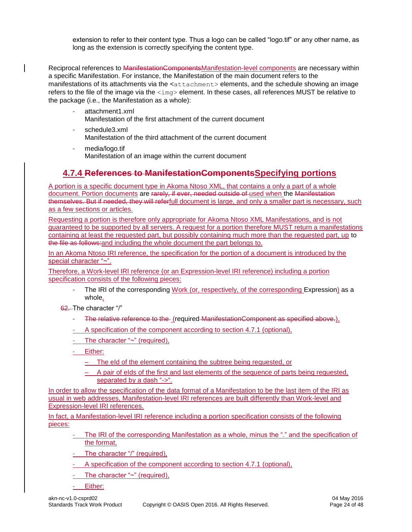extension to refer to their content type. Thus a logo can be called "logo.tif" or any other name, as long as the extension is correctly specifying the content type.

Reciprocal references to ManifestationComponentsManifestation-level components are necessary within a specific Manifestation. For instance, the Manifestation of the main document refers to the manifestations of its attachments via the <attachment> elements, and the schedule showing an image refers to the file of the image via the  $\langle\text{img}\rangle$  element. In these cases, all references MUST be relative to the package (i.e., the Manifestation as a whole):

- attachment1.xml Manifestation of the first attachment of the current document
- schedule3.xml Manifestation of the third attachment of the current document
- media/logo.tif Manifestation of an image within the current document

### <span id="page-23-0"></span>**4.7.4 References to ManifestationComponentsSpecifying portions**

A portion is a specific document type in Akoma Ntoso XML, that contains a only a part of a whole document. Portion documents are rarely, if ever, needed outside of used when the Manifestation themselves. But if needed, they will referfull document is large, and only a smaller part is necessary, such as a few sections or articles.

Requesting a portion is therefore only appropriate for Akoma Ntoso XML Manifestations, and is not guaranteed to be supported by all servers. A request for a portion therefore MUST return a manifestations containing at least the requested part, but possibly containing much more than the requested part, up to the file as follows:and including the whole document the part belongs to.

In an Akoma Ntoso IRI reference, the specification for the portion of a document is introduced by the special character "~".

Therefore, a Work-level IRI reference (or an Expression-level IRI reference) including a portion specification consists of the following pieces:

- The IRI of the corresponding Work (or, respectively, of the corresponding Expression) as a whole,
- 62. The character "/"
	- The relative reference to the (required ManifestationComponent as specified above.),
	- A specification of the component according to section 4.7.1 (optional).
	- The character "~" (required),
	- Either:
		- The eId of the element containing the subtree being requested, or
		- A pair of eIds of the first and last elements of the sequence of parts being requested, separated by a dash "->".

In order to allow the specification of the data format of a Manifestation to be the last item of the IRI as usual in web addresses, Manifestation-level IRI references are built differently than Work-level and Expression-level IRI references.

In fact, a Manifestation-level IRI reference including a portion specification consists of the following pieces:

- The IRI of the corresponding Manifestation as a whole, minus the "." and the specification of the format,
- The character "/" (required),
- A specification of the component according to section 4.7.1 (optional),
- The character " $\sim$ " (required),
- Either: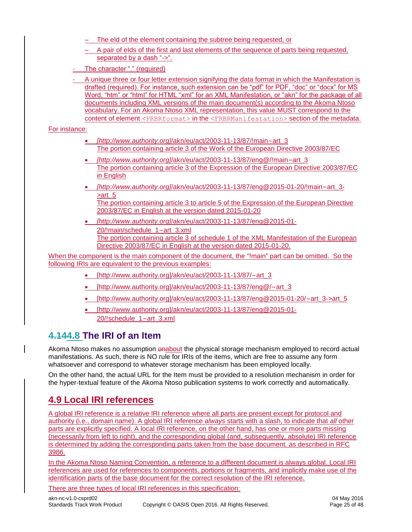- The eld of the element containing the subtree being requested, or
- A pair of eIds of the first and last elements of the sequence of parts being requested, separated by a dash "->".
- The character "." (required)
- A unique three or four letter extension signifying the data format in which the Manifestation is drafted (required). For instance, such extension can be "pdf" for PDF, "doc" or "docx" for MS Word, "htm" or "html" for HTML "xml" for an XML Manifestation, or "akn" for the package of all documents including XML versions of the main document(s) according to the Akoma Ntoso vocabulary. For an Akoma Ntoso XML representation, this value MUST correspond to the content of element <FRBRformat> in the <FRBRManifestation> section of the metadata.

For instance:

- *[http://www.authority.org]*/akn/eu/act/2003-11-13/87/!main~art\_3 The portion containing article 3 of the Work of the European Directive 2003/87/EC
- *[http://www.authority.org]*/akn/eu/act/2003-11-13/87/eng@/!main~art\_3 The portion containing article 3 of the Expression of the European Directive 2003/87/EC in English
- *[http://www.authority.org]*/akn/eu/act/2003-11-13/87/eng@2015-01-20/!main~art\_3-  $\rightharpoonup$  art 5 The portion containing article 3 to article 5 of the Expression of the European Directive 2003/87/EC in English at the version dated 2015-01-20
- *[http://www.authority.org]*/akn/eu/act/2003-11-13/87/eng@2015-01- 20/!main/schedule\_1~art\_3.xml The portion containing article 3 of schedule 1 of the XML Manifestation of the European Directive 2003/87/EC in English at the version dated 2015-01-20.

When the component is the main component of the document, the "!main" part can be omitted. So the following IRIs are equivalent to the previous examples:

- [http://www.authority.org]/akn/eu/act/2003-11-13/87/ $\sim$ art\_3
- [http://www.authority.org]/akn/eu/act/2003-11-13/87/eng@/~art\_3
- [http://www.authority.org]/akn/eu/act/2003-11-13/87/eng@2015-01-20/ $\sim$ art\_3->art\_5
- [http://www.authority.org]/akn/eu/act/2003-11-13/87/eng@2015-01- 20/!schedule\_1~art\_3.xml

### <span id="page-24-0"></span>**4.144.8 The IRI of an Item**

Akoma Ntoso makes no assumption enabout the physical storage mechanism employed to record actual manifestations. As such, there is NO rule for IRIs of the items, which are free to assume any form whatsoever and correspond to whatever storage mechanism has been employed locally.

On the other hand, the actual URL for the Item must be provided to a resolution mechanism in order for the hyper-textual feature of the Akoma Ntoso publication systems to work correctly and automatically.

### <span id="page-24-1"></span>**4.9 Local IRI references**

A global IRI reference is a relative IRI reference where all parts are present except for protocol and authority (i.e., domain name). A global IRI reference *always* starts with a slash, to indicate that *all* other parts are explicitly specified. A local IRI reference, on the other hand, has one or more parts missing (necessarily from left to right), and the corresponding global (and, subsequently, absolute) IRI reference is determined by adding the corresponding parts taken from the base document, as described in RFC 3986.

In the Akoma Ntoso Naming Convention, a reference to a different document is always global. Local IRI references are used for references to components, portions or fragments, and implicitly make use of the identification parts of the base document for the correct resolution of the IRI reference.

There are three types of local IRI references in this specification: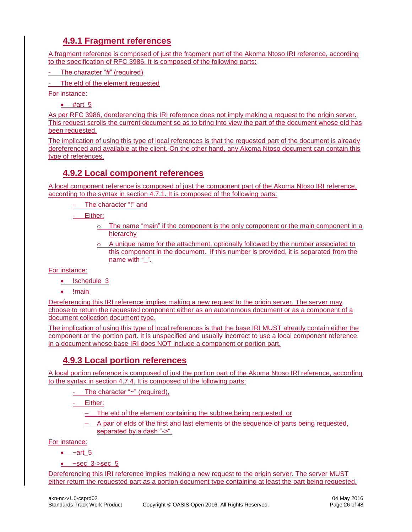### **4.9.1 Fragment references**

<span id="page-25-0"></span>A fragment reference is composed of just the fragment part of the Akoma Ntoso IRI reference, according to the specification of RFC 3986. It is composed of the following parts:

The character "#" (required)

The eId of the element requested

For instance:

 $•$  #art 5

As per RFC 3986, dereferencing this IRI reference does not imply making a request to the origin server. This request scrolls the current document so as to bring into view the part of the document whose eId has been requested.

The implication of using this type of local references is that the requested part of the document is already dereferenced and available at the client. On the other hand, any Akoma Ntoso document can contain this type of references.

### <span id="page-25-1"></span>**4.9.2 Local component references**

A local component reference is composed of just the component part of the Akoma Ntoso IRI reference, according to the syntax in section 4.7.1. It is composed of the following parts:

- The character "!" and

- Either:

- $\circ$  The name "main" if the component is the only component or the main component in a hierarchy
- $\circ$  A unique name for the attachment, optionally followed by the number associated to this component in the document. If this number is provided, it is separated from the name with " ".

#### For instance:

- !schedule 3
- !main

Dereferencing this IRI reference implies making a new request to the origin server. The server may choose to return the requested component either as an autonomous document or as a component of a document collection document type.

The implication of using this type of local references is that the base IRI MUST already contain either the component or the portion part. It is unspecified and usually incorrect to use a local component reference in a document whose base IRI does NOT include a component or portion part.

### <span id="page-25-2"></span>**4.9.3 Local portion references**

A local portion reference is composed of just the portion part of the Akoma Ntoso IRI reference, according to the syntax in section 4.7.4. It is composed of the following parts:

- The character "~" (required),

Either:

- The eId of the element containing the subtree being requested, or
- A pair of eIds of the first and last elements of the sequence of parts being requested, separated by a dash "->".

For instance:

- $\bullet$   $\sim$ art 5
- $\bullet$  ~sec 3->sec 5

Dereferencing this IRI reference implies making a new request to the origin server. The server MUST either return the requested part as a portion document type containing at least the part being requested,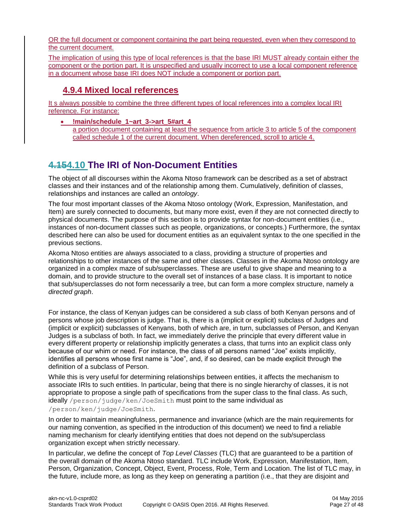OR the full document or component containing the part being requested, even when they correspond to the current document.

The implication of using this type of local references is that the base IRI MUST already contain either the component or the portion part. It is unspecified and usually incorrect to use a local component reference in a document whose base IRI does NOT include a component or portion part.

### <span id="page-26-0"></span>**4.9.4 Mixed local references**

It s always possible to combine the three different types of local references into a complex local IRI reference. For instance:

**!main/schedule\_1~art\_3->art\_5#art\_4**

a portion document containing at least the sequence from article 3 to article 5 of the component called schedule 1 of the current document. When dereferenced, scroll to article 4.

### <span id="page-26-1"></span>**4.154.10 The IRI of Non-Document Entities**

The object of all discourses within the Akoma Ntoso framework can be described as a set of abstract classes and their instances and of the relationship among them. Cumulatively, definition of classes, relationships and instances are called an *ontology*.

The four most important classes of the Akoma Ntoso ontology (Work, Expression, Manifestation, and Item) are surely connected to documents, but many more exist, even if they are not connected directly to physical documents. The purpose of this section is to provide syntax for non-document entities (i.e., instances of non-document classes such as people, organizations, or concepts.) Furthermore, the syntax described here can also be used for document entities as an equivalent syntax to the one specified in the previous sections.

Akoma Ntoso entities are always associated to a class, providing a structure of properties and relationships to other instances of the same and other classes. Classes in the Akoma Ntoso ontology are organized in a complex maze of sub/superclasses. These are useful to give shape and meaning to a domain, and to provide structure to the overall set of instances of a base class. It is important to notice that sub/superclasses do not form necessarily a tree, but can form a more complex structure, namely a *directed graph*.

For instance, the class of Kenyan judges can be considered a sub class of both Kenyan persons and of persons whose job description is judge. That is, there is a (implicit or explicit) subclass of Judges and (implicit or explicit) subclasses of Kenyans, both of which are, in turn, subclasses of Person, and Kenyan Judges is a subclass of both. In fact, we immediately derive the principle that every different value in every different property or relationship implicitly generates a class, that turns into an explicit class only because of our whim or need. For instance, the class of all persons named "Joe" exists implicitly, identifies all persons whose first name is "Joe", and, if so desired, can be made explicit through the definition of a subclass of Person.

While this is very useful for determining relationships between entities, it affects the mechanism to associate IRIs to such entities. In particular, being that there is no single hierarchy of classes, it is not appropriate to propose a single path of specifications from the super class to the final class. As such, ideally /person/judge/ken/JoeSmith must point to the same individual as /person/ken/judge/JoeSmith.

In order to maintain meaningfulness, permanence and invariance (which are the main requirements for our naming convention, as specified in the introduction of this document) we need to find a reliable naming mechanism for clearly identifying entities that does not depend on the sub/superclass organization except when strictly necessary.

In particular, we define the concept of *Top Level Classes* (TLC) that are guaranteed to be a partition of the overall domain of the Akoma Ntoso standard. TLC include Work, Expression, Manifestation, Item, Person, Organization, Concept, Object, Event, Process, Role, Term and Location. The list of TLC may, in the future, include more, as long as they keep on generating a partition (i.e., that they are disjoint and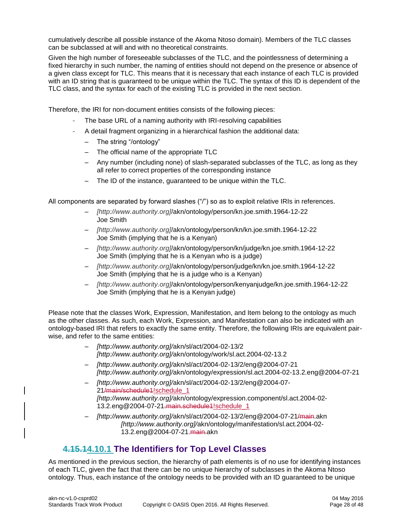cumulatively describe all possible instance of the Akoma Ntoso domain). Members of the TLC classes can be subclassed at will and with no theoretical constraints.

Given the high number of foreseeable subclasses of the TLC, and the pointlessness of determining a fixed hierarchy in such number, the naming of entities should not depend on the presence or absence of a given class except for TLC. This means that it is necessary that each instance of each TLC is provided with an ID string that is guaranteed to be unique within the TLC. The syntax of this ID is dependent of the TLC class, and the syntax for each of the existing TLC is provided in the next section.

Therefore, the IRI for non-document entities consists of the following pieces:

- The base URL of a naming authority with IRI-resolving capabilities
- A detail fragment organizing in a hierarchical fashion the additional data:
	- The string "/ontology"
	- The official name of the appropriate TLC
	- Any number (including none) of slash-separated subclasses of the TLC, as long as they all refer to correct properties of the corresponding instance
	- The ID of the instance, guaranteed to be unique within the TLC.

All components are separated by forward slashes ("/") so as to exploit relative IRIs in references.

- *[http://www.authority.org]*/akn/ontology/person/kn.joe.smith.1964-12-22 Joe Smith
- *[http://www.authority.org]*/akn/ontology/person/kn/kn.joe.smith.1964-12-22 Joe Smith (implying that he is a Kenyan)
- *[http://www.authority.org]*/akn/ontology/person/kn/judge/kn.joe.smith.1964-12-22 Joe Smith (implying that he is a Kenyan who is a judge)
- *[http://www.authority.org]*/akn/ontology/person/judge/kn/kn.joe.smith.1964-12-22 Joe Smith (implying that he is a judge who is a Kenyan)
- *[http://www.authority.org]*/akn/ontology/person/kenyanjudge/kn.joe.smith.1964-12-22 Joe Smith (implying that he is a Kenyan judge)

Please note that the classes Work, Expression, Manifestation, and Item belong to the ontology as much as the other classes. As such, each Work, Expression, and Manifestation can also be indicated with an ontology-based IRI that refers to exactly the same entity. Therefore, the following IRIs are equivalent pairwise, and refer to the same entities:

- *[http://www.authority.org]/*akn/sl/act/2004-02-13/2 *[http://www.authority.org]/*akn/ontology/work/sl.act.2004-02-13.2
- *[http://www.authority.org]/*akn/sl/act/2004-02-13/2/eng@2004-07-21 *[http://www.authority.org]/*akn/ontology/expression/sl.act.2004-02-13.2.eng@2004-07-21
- *[http://www.authority.org]/*akn/sl/act/2004-02-13/2/eng@2004-07- 21/main/schedule1!schedule\_1 *[http://www.authority.org]/*akn/ontology/expression.component/sl.act.2004-02- 13.2.eng@2004-07-21.main.schedule1!schedule\_1
- *[http://www.authority.org]/*akn/sl/act/2004-02-13/2/eng@2004-07-21/main.akn *[http://www.authority.org]/*akn/ontology/manifestation/sl.act.2004-02- 13.2.eng@2004-07-21.main.akn

### <span id="page-27-0"></span>**4.15.14.10.1 The Identifiers for Top Level Classes**

As mentioned in the previous section, the hierarchy of path elements is of no use for identifying instances of each TLC, given the fact that there can be no unique hierarchy of subclasses in the Akoma Ntoso ontology. Thus, each instance of the ontology needs to be provided with an ID guaranteed to be unique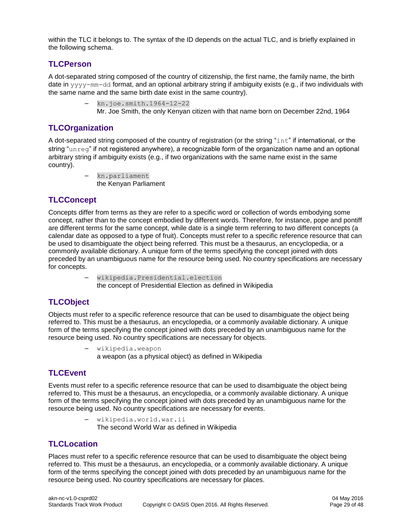within the TLC it belongs to. The syntax of the ID depends on the actual TLC, and is briefly explained in the following schema.

#### <span id="page-28-0"></span>**TLCPerson**

A dot-separated string composed of the country of citizenship, the first name, the family name, the birth date in yyyy-mm-dd format, and an optional arbitrary string if ambiguity exists (e.g., if two individuals with the same name and the same birth date exist in the same country).

- kn.joe.smith.1964-12-22
	- Mr. Joe Smith, the only Kenyan citizen with that name born on December 22nd, 1964

### <span id="page-28-1"></span>**TLCOrganization**

A dot-separated string composed of the country of registration (or the string "int" if international, or the string "unreg" if not registered anywhere), a recognizable form of the organization name and an optional arbitrary string if ambiguity exists (e.g., if two organizations with the same name exist in the same country).

> – kn.parliament the Kenyan Parliament

### <span id="page-28-2"></span>**TLCConcept**

Concepts differ from terms as they are refer to a specific word or collection of words embodying some concept, rather than to the concept embodied by different words. Therefore, for instance, pope and pontiff are different terms for the same concept, while date is a single term referring to two different concepts (a calendar date as opposed to a type of fruit). Concepts must refer to a specific reference resource that can be used to disambiguate the object being referred. This must be a thesaurus, an encyclopedia, or a commonly available dictionary. A unique form of the terms specifying the concept joined with dots preceded by an unambiguous name for the resource being used. No country specifications are necessary for concepts.

> – wikipedia.Presidential.election the concept of Presidential Election as defined in Wikipedia

### <span id="page-28-3"></span>**TLCObject**

Objects must refer to a specific reference resource that can be used to disambiguate the object being referred to. This must be a thesaurus, an encyclopedia, or a commonly available dictionary. A unique form of the terms specifying the concept joined with dots preceded by an unambiguous name for the resource being used. No country specifications are necessary for objects.

> – wikipedia.weapon a weapon (as a physical object) as defined in Wikipedia

### <span id="page-28-4"></span>**TLCEvent**

Events must refer to a specific reference resource that can be used to disambiguate the object being referred to. This must be a thesaurus, an encyclopedia, or a commonly available dictionary. A unique form of the terms specifying the concept joined with dots preceded by an unambiguous name for the resource being used. No country specifications are necessary for events.

> – wikipedia.world.war.ii The second World War as defined in Wikipedia

#### <span id="page-28-5"></span>**TLCLocation**

Places must refer to a specific reference resource that can be used to disambiguate the object being referred to. This must be a thesaurus, an encyclopedia, or a commonly available dictionary. A unique form of the terms specifying the concept joined with dots preceded by an unambiguous name for the resource being used. No country specifications are necessary for places.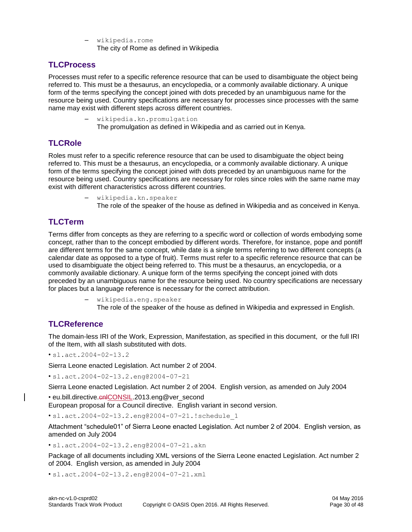– wikipedia.rome The city of Rome as defined in Wikipedia

#### <span id="page-29-0"></span>**TLCProcess**

Processes must refer to a specific reference resource that can be used to disambiguate the object being referred to. This must be a thesaurus, an encyclopedia, or a commonly available dictionary. A unique form of the terms specifying the concept joined with dots preceded by an unambiguous name for the resource being used. Country specifications are necessary for processes since processes with the same name may exist with different steps across different countries.

> – wikipedia.kn.promulgation The promulgation as defined in Wikipedia and as carried out in Kenya.

### <span id="page-29-1"></span>**TLCRole**

Roles must refer to a specific reference resource that can be used to disambiguate the object being referred to. This must be a thesaurus, an encyclopedia, or a commonly available dictionary. A unique form of the terms specifying the concept joined with dots preceded by an unambiguous name for the resource being used. Country specifications are necessary for roles since roles with the same name may exist with different characteristics across different countries.

- wikipedia.kn.speaker
	- The role of the speaker of the house as defined in Wikipedia and as conceived in Kenya.

### <span id="page-29-2"></span>**TLCTerm**

Terms differ from concepts as they are referring to a specific word or collection of words embodying some concept, rather than to the concept embodied by different words. Therefore, for instance, pope and pontiff are different terms for the same concept, while date is a single terms referring to two different concepts (a calendar date as opposed to a type of fruit). Terms must refer to a specific reference resource that can be used to disambiguate the object being referred to. This must be a thesaurus, an encyclopedia, or a commonly available dictionary. A unique form of the terms specifying the concept joined with dots preceded by an unambiguous name for the resource being used. No country specifications are necessary for places but a language reference is necessary for the correct attribution.

– wikipedia.eng.speaker

The role of the speaker of the house as defined in Wikipedia and expressed in English.

#### <span id="page-29-3"></span>**TLCReference**

The domain-less IRI of the Work, Expression, Manifestation, as specified in this document, or the full IRI of the Item, with all slash substituted with dots.

• sl.act.2004-02-13.2

Sierra Leone enacted Legislation. Act number 2 of 2004.

• sl.act.2004-02-13.2.eng@2004-07-21

Sierra Leone enacted Legislation. Act number 2 of 2004. English version, as amended on July 2004 • eu.bill.directive.cnlCONSIL.2013.eng@ver\_second

European proposal for a Council directive. English variant in second version.

• [sl.act.2004-02-13.2.eng@2004-07-21.!schedule\\_1](mailto:sl.act.2004-02-13.2.eng@2004-07-21.!schedule_1)

Attachment "schedule01" of Sierra Leone enacted Legislation. Act number 2 of 2004. English version, as amended on July 2004

• [sl.act.2004-02-13.2.eng@2004-07-21.akn](mailto:sl.act.2004-02-13.2.eng@2004-07-21.akn)

Package of all documents including XML versions of the Sierra Leone enacted Legislation. Act number 2 of 2004. English version, as amended in July 2004

• [sl.act.2004-02-13.2.eng@2004-07-21.xml](mailto:sl.act.2004-02-13.2.eng@2004-07-21.xml)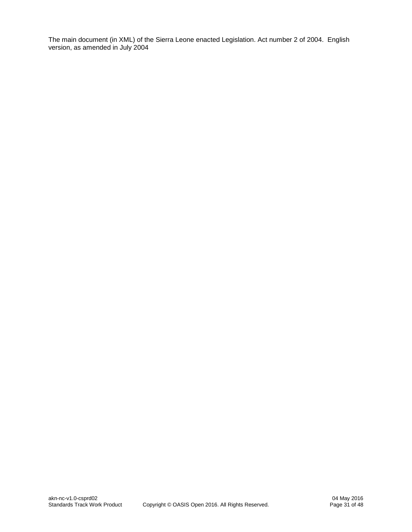The main document (in XML) of the Sierra Leone enacted Legislation. Act number 2 of 2004. English version, as amended in July 2004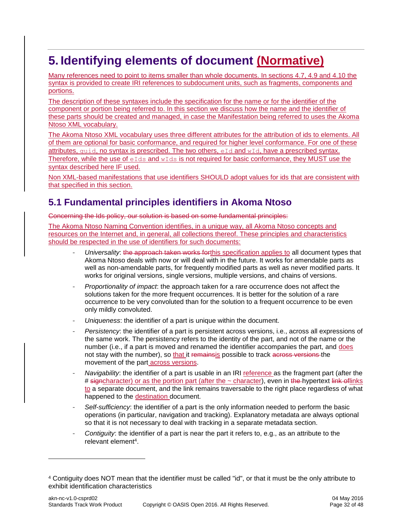# <span id="page-31-0"></span>**5. Identifying elements of document (Normative)**

Many references need to point to items smaller than whole documents. In sections 4.7, 4.9 and 4.10 the syntax is provided to create IRI references to subdocument units, such as fragments, components and portions.

The description of these syntaxes include the specification for the name or for the identifier of the component or portion being referred to. In this section we discuss how the name and the identifier of these parts should be created and managed, in case the Manifestation being referred to uses the Akoma Ntoso XML vocabulary.

The Akoma Ntoso XML vocabulary uses three different attributes for the attribution of ids to elements. All of them are optional for basic conformance, and required for higher level conformance. For one of these attributes, quid, no syntax is prescribed. The two others,  $eId$  and  $wId$ , have a prescribed syntax. Therefore, while the use of  $eIds$  and  $wIds$  is not required for basic conformance, they MUST use the syntax described here IF used.

Non XML-based manifestations that use identifiers SHOULD adopt values for ids that are consistent with that specified in this section.

### <span id="page-31-1"></span>**5.1 Fundamental principles identifiers in Akoma Ntoso**

Concerning the Ids policy, our solution is based on some fundamental principles:

The Akoma Ntoso Naming Convention identifies, in a unique way, all Akoma Ntoso concepts and resources on the Internet and, in general, all collections thereof. These principles and characteristics should be respected in the use of identifiers for such documents:

- Universality: the approach taken works forthis specification applies to all document types that Akoma Ntoso deals with now or will deal with in the future. It works for amendable parts as well as non-amendable parts, for frequently modified parts as well as never modified parts. It works for original versions, single versions, multiple versions, and chains of versions.
- *Proportionality of impact*: the approach taken for a rare occurrence does not affect the solutions taken for the more frequent occurrences. It is better for the solution of a rare occurrence to be very convoluted than for the solution to a frequent occurrence to be even only mildly convoluted.
- *Uniqueness*: the identifier of a part is unique within the document.
- *Persistency*: the identifier of a part is persistent across versions, i.e., across all expressions of the same work. The persistency refers to the identity of the part, and not of the name or the number (i.e., if a part is moved and renamed the identifier accompanies the part, and does not stay with the number), so that it remainsis possible to track across versions the movement of the part across versions.
- *Navigability*: the identifier of a part is usable in an IRI reference as the fragment part (after the # signcharacter) or as the portion part (after the ~ character), even in the hypertext link of links to a separate document, and the link remains traversable to the right place regardless of what happened to the destination document.
- *Self-sufficiency*: the identifier of a part is the only information needed to perform the basic operations (in particular, navigation and tracking). Explanatory metadata are always optional so that it is not necessary to deal with tracking in a separate metadata section.
- *Contiguity*: the identifier of a part is near the part it refers to, e.g., as an attribute to the relevant element<sup>4</sup>.

l

<sup>4</sup> Contiguity does NOT mean that the identifier must be called "id", or that it must be the only attribute to exhibit identification characteristics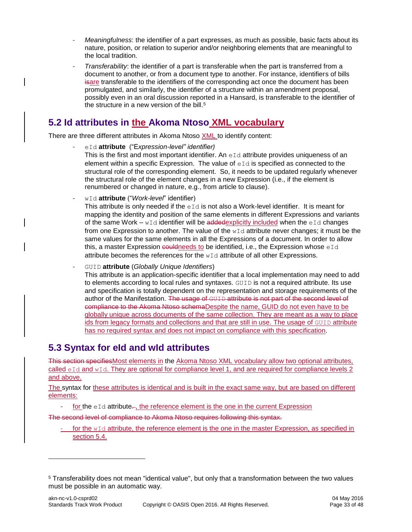- *Meaningfulness*: the identifier of a part expresses, as much as possible, basic facts about its nature, position, or relation to superior and/or neighboring elements that are meaningful to the local tradition.
- *Transferability*: the identifier of a part is transferable when the part is transferred from a document to another, or from a document type to another. For instance, identifiers of bills isare transferable to the identifiers of the corresponding act once the document has been promulgated, and similarly, the identifier of a structure within an amendment proposal, possibly even in an oral discussion reported in a Hansard, is transferable to the identifier of the structure in a new version of the bill. $5$

### <span id="page-32-0"></span>**5.2 Id attributes in the Akoma Ntoso XML vocabulary**

There are three different attributes in Akoma Ntoso XML to identify content:

- eId **attribute** ("E*xpression-level" identifier)*
	- This is the first and most important identifier. An eId attribute provides uniqueness of an element within a specific Expression. The value of  $eI\,d}$  is specified as connected to the structural role of the corresponding element. So, it needs to be updated regularly whenever the structural role of the element changes in a new Expression (i.e., if the element is renumbered or changed in nature, e.g., from article to clause).
- wId **attribute** ("*Work-level*" identifier)

This attribute is only needed if the  $eI\,d$  is not also a Work-level identifier. It is meant for mapping the identity and position of the same elements in different Expressions and variants of the same Work –  $wId$  identifier will be addedexplicitly included when the eId changes from one Expression to another. The value of the  $wId$  attribute never changes; it must be the same values for the same elements in all the Expressions of a document. In order to allow this, a master Expression couldneeds to be identified, i.e., the Expression whose  $eId$ attribute becomes the references for the  $wId$  attribute of all other Expressions.

- GUID **attribute** (*Globally Unique Identifiers*)

This attribute is an application-specific identifier that a local implementation may need to add to elements according to local rules and syntaxes. GUID is not a required attribute. Its use and specification is totally dependent on the representation and storage requirements of the author of the Manifestation. The usage of GUID attribute is not part of the second level of compliance to the Akoma Ntoso schemaDespite the name, GUID do not even have to be globally unique across documents of the same collection. They are meant as a way to place ids from legacy formats and collections and that are still in use. The usage of GUID attribute has no required syntax and does not impact on compliance with this specification.

### <span id="page-32-1"></span>**5.3 Syntax for eId and wId attributes**

l

This section specifiesMost elements in the Akoma Ntoso XML vocabulary allow two optional attributes, called  $eId$  and  $wId$ . They are optional for compliance level 1, and are required for compliance levels 2 and above.

The syntax for these attributes is identical and is built in the exact same way, but are based on different elements:

for the  $eId$  attribute..., the reference element is the one in the current Expression

The second level of compliance to Akoma Ntoso requires following this syntax.

- for the  $wId$  attribute, the reference element is the one in the master Expression, as specified in section 5.4.

<sup>5</sup> Transferability does not mean "identical value", but only that a transformation between the two values must be possible in an automatic way.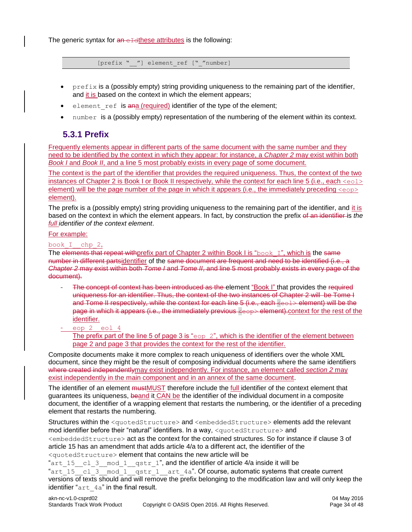The generic syntax for  $an$  exact attributes is the following:

[prefix " "] element ref [" "number]

- $prefix$  is a (possibly empty) string providing uniqueness to the remaining part of the identifier, and it is based on the context in which the element appears;
- element ref is ana (required) identifier of the type of the element;
- number is a (possibly empty) representation of the numbering of the element within its context.

### <span id="page-33-0"></span>**5.3.1 Prefix**

Frequently elements appear in different parts of the same document with the same number and they need to be identified by the context in which they appear: for instance, a *Chapter 2* may exist within both *Book I* and *Book II*, and a line 5 most probably exists in every page of some document.

The context is the part of the identifier that provides the required uniqueness. Thus, the context of the two instances of Chapter 2 is Book I or Book II respectively, while the context for each line 5 (i.e., each <eol> element) will be the page number of the page in which it appears (i.e., the immediately preceding  $\langle e_{\text{opp}} \rangle$ element).

The prefix is a (possibly empty) string providing uniqueness to the remaining part of the identifier, and it is based on the context in which the element appears. In fact, by construction the prefix of an identifier is *the full identifier of the context element*.

#### For example:

#### book\_I\_\_chp\_2,

The elements that repeat withprefix part of Chapter 2 within Book I is " $\text{book I}$ ", which is the same number in different partsidentifier of the same document are frequent and need to be identified (i.e., a *Chapter 2* may exist within both *Tome I* and *Tome II*, and line 5 most probably exists in every page of the document).

- The concept of context has been introduced as the element "Book I" that provides the required uniqueness for an identifier. Thus, the context of the two instances of Chapter 2 will be Tome I and Tome II respectively, while the context for each line 5 (i.e., each <eel> element) will be the page in which it appears (i.e., the immediately previous  $\langle \cos \theta \rangle$  element). context for the rest of the identifier.
- eop 2 eol 4

The prefix part of the line 5 of page 3 is " $e^{1/2}$ ", which is the identifier of the element between page 2 and page 3 that provides the context for the rest of the identifier*.* 

Composite documents make it more complex to reach uniqueness of identifiers over the whole XML document, since they might be the result of composing individual documents where the same identifiers where created independentlymay exist independently. For instance, an element called *section 2* may exist independently in the main component and in an annex of the same document.

The identifier of an element mustMUST therefore include the full identifier of the context element that guarantees its uniqueness, beand it CAN be the identifier of the individual document in a composite document, the identifier of a wrapping element that restarts the numbering, or the identifier of a preceding element that restarts the numbering.

Structures within the <quotedStructure> and <embeddedStructure> elements add the relevant mod identifier before their "natural" identifiers. In a way, <quotedStructure> and <embeddedStructure> act as the context for the contained structures. So for instance if clause 3 of article 15 has an amendment that adds article 4/a to a different act, the identifier of the <quotedStructure> element that contains the new article will be

"art  $15$  cl 3 mod 1 qstr 1", and the identifier of article 4/a inside it will be " $arct^{-15}$   $\frac{1}{2}$   $\frac{1}{2}$  mod\_1  $\frac{1}{2}$   $\frac{1}{2}$  art  $4a$ ". Of course, automatic systems that create current versions of texts should and will remove the prefix belonging to the modification law and will only keep the identifier "art 4a" in the final result.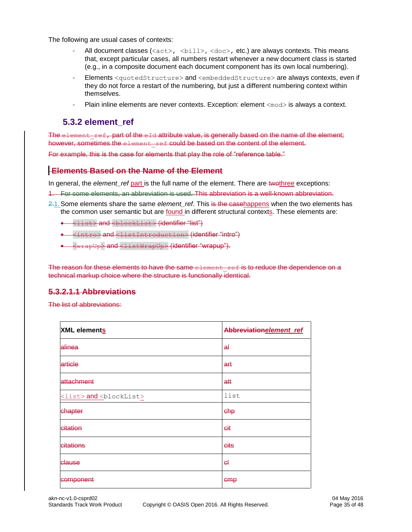The following are usual cases of contexts:

- All document classes ( $\langle \text{act}\rangle$ ,  $\langle \text{bill}\rangle$ ,  $\langle \text{doc}\rangle$ , etc.) are always contexts. This means that, except particular cases, all numbers restart whenever a new document class is started (e.g., in a composite document each document component has its own local numbering).
- Elements <quotedStructure> and <embeddedStructure> are always contexts, even if they do not force a restart of the numbering, but just a different numbering context within themselves.
- Plain inline elements are never contexts. Exception: element <mod> is always a context.

### <span id="page-34-0"></span>**5.3.2 element\_ref**

The element  $r$ ef, part of the eId attribute value, is generally based on the name of the element; however, sometimes the element ref could be based on the content of the element.

For example, this is the case for elements that play the role of "reference table."

#### 5.3.2.1 **Elements Based on the Name of the Element**

In general, the *element* ref part is the full name of the element. There are twothree exceptions:

- 1. For some elements, an abbreviation is used. This abbreviation is a well-known abbreviation.
- 2.1. Some elements share the same *element ref*. This is the casehappens when the two elements has the common user semantic but are found in different structural contexts. These elements are:
	- <list> and <blockList> (identifier "list")
	- <intro> and <listIntroduction> (identifier "intro")
	- <wrapUp> and <listWrapUp> (identifier "wrapup").

The reason for these elements to have the same element ref is to reduce the dependence on a technical markup choice where the structure is functionally identical.

#### **5.3.2.1.1 Abbreviations**

The list of abbreviations:

| XML elements                              | Abbreviationelement ref |
|-------------------------------------------|-------------------------|
| alinea                                    | a∔                      |
| article                                   | art                     |
| attachment                                | att                     |
| <list> and <blocklist></blocklist></list> | list                    |
| chapter                                   | chp                     |
| citation                                  | <del>Git</del>          |
| citations                                 | eits                    |
| clause                                    | eŀ                      |
| component                                 | emp                     |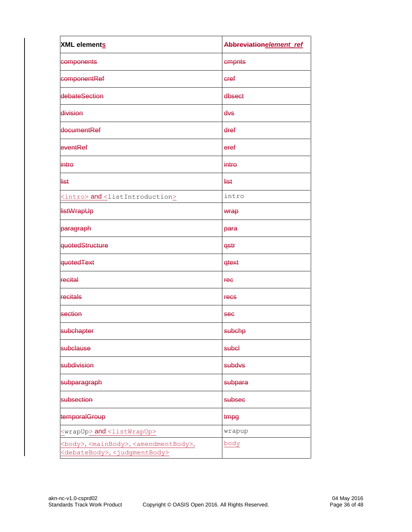| <b>XML</b> elements                                                                                                               | Abbreviation element_ref |  |  |
|-----------------------------------------------------------------------------------------------------------------------------------|--------------------------|--|--|
| components                                                                                                                        | cmpnts                   |  |  |
| componentRef                                                                                                                      | eref                     |  |  |
| debateSection                                                                                                                     | dbsect                   |  |  |
| division                                                                                                                          | dvs                      |  |  |
| documentRef                                                                                                                       | dref                     |  |  |
| eventRef                                                                                                                          | eref                     |  |  |
| intro                                                                                                                             | intro                    |  |  |
| <b>list</b>                                                                                                                       | list                     |  |  |
| <intro> and <listintroduction></listintroduction></intro>                                                                         | intro                    |  |  |
| <b>listWrapUp</b>                                                                                                                 | wrap                     |  |  |
| paragraph                                                                                                                         | para                     |  |  |
| quotedStructure                                                                                                                   | qstr                     |  |  |
| quotedText                                                                                                                        | <b>qtext</b>             |  |  |
| recital                                                                                                                           | <b>rec</b>               |  |  |
| recitals                                                                                                                          | <b>Fecs</b>              |  |  |
| section                                                                                                                           | <b>see</b>               |  |  |
| subchapter                                                                                                                        | subchp                   |  |  |
| subclause                                                                                                                         | subel                    |  |  |
| subdivision                                                                                                                       | subdvs                   |  |  |
| subparagraph                                                                                                                      | subpara                  |  |  |
| subsection                                                                                                                        | subsec                   |  |  |
| temporalGroup                                                                                                                     | tmpg                     |  |  |
| <wrapup> and<listwrapup></listwrapup></wrapup>                                                                                    | wrapup                   |  |  |
| <body>,<mainbody>,<amendmentbody>,<br/><debatebody>, <judgmentbody></judgmentbody></debatebody></amendmentbody></mainbody></body> | body                     |  |  |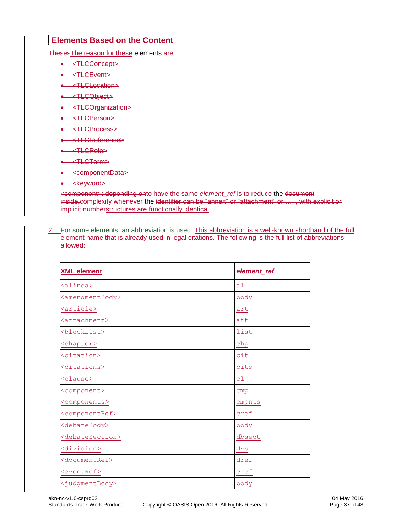### 5.3.2.2 **Elements Based on the Content**

ThesesThe reason for these elements are:

- <TLCConcept>
- <TLCEvent>
- <TLCLocation>
- <TLCObject>
- <TLCOrganization>
- <TLCPerson>
- <TLCProcess>
- <TLCReference>
- <TLCRole>
- <TLCTerm>
- <componentData>
- < keyword>

<component>: depending onto have the same *element\_ref* is to reduce the document inside<sub>r</sub>complexity whenever the identifier can be "annex" or "attachment" or ... , with explicit or implicit numberstructures are functionally identical.

2. For some elements, an abbreviation is used. This abbreviation is a well-known shorthand of the full element name that is already used in legal citations. The following is the full list of abbreviations allowed:

| <b>XML element</b>              | element_ref |
|---------------------------------|-------------|
| <alinea></alinea>               | al          |
| <amendmentbody></amendmentbody> | body        |
| <article></article>             | art         |
| <attachment></attachment>       | att         |
| <blocklist></blocklist>         | list        |
| <chapter></chapter>             | chp         |
| <citation></citation>           | cit         |
| <citations></citations>         | cits        |
| <clause></clause>               | cl          |
| <component></component>         | cmp         |
| <components></components>       | cmpnts      |
| <componentref></componentref>   | cref        |
| <debatebody></debatebody>       | body        |
| <debatesection></debatesection> | dbsect      |
| <division></division>           | dvs         |
| <documentref></documentref>     | dref        |
| <eventref></eventref>           | eref        |
| <judgmentbody></judgmentbody>   | body        |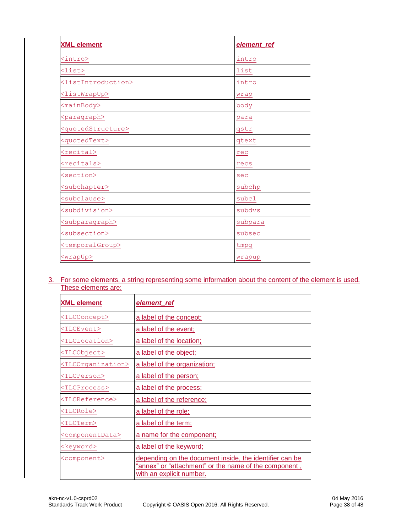| <b>XML element</b>                    | element_ref |  |
|---------------------------------------|-------------|--|
| <intro></intro>                       | intro       |  |
| $\langle \text{list}\rangle$          | list        |  |
| <listintroduction></listintroduction> | intro       |  |
| <listwrapup></listwrapup>             | wrap        |  |
| <mainbody></mainbody>                 | body        |  |
| <paragraph></paragraph>               | para        |  |
| <quotedstructure></quotedstructure>   | gstr        |  |
| <quotedtext></quotedtext>             | qtext       |  |
| <recital></recital>                   | rec         |  |
| <recitals></recitals>                 | recs        |  |
| <section></section>                   | sec         |  |
| <subchapter></subchapter>             | subchp      |  |
| <subclause></subclause>               | subcl       |  |
| <subdivision></subdivision>           | subdvs      |  |
| <subparagraph></subparagraph>         | subpara     |  |
| <subsection></subsection>             | subsec      |  |
| <temporalgroup></temporalgroup>       | tmpg        |  |
| <wrapup></wrapup>                     | wrapup      |  |

3. For some elements, a string representing some information about the content of the element is used. These elements are:

| <b>XML element</b>                                                                                                                                                        | element_ref                  |  |  |
|---------------------------------------------------------------------------------------------------------------------------------------------------------------------------|------------------------------|--|--|
| <tlcconcept></tlcconcept>                                                                                                                                                 | a label of the concept;      |  |  |
| $<$ TLCEvent>                                                                                                                                                             | a label of the event;        |  |  |
| <tlclocation></tlclocation>                                                                                                                                               | a label of the location;     |  |  |
| <tlcobject></tlcobject>                                                                                                                                                   | a label of the object;       |  |  |
| <tlcorganization></tlcorganization>                                                                                                                                       | a label of the organization; |  |  |
| <tlcperson></tlcperson>                                                                                                                                                   | a label of the person;       |  |  |
| <tlcprocess></tlcprocess>                                                                                                                                                 | a label of the process;      |  |  |
| <tlcreference></tlcreference>                                                                                                                                             | a label of the reference;    |  |  |
| <tlcrole></tlcrole>                                                                                                                                                       | a label of the role;         |  |  |
| $<$ TLCTerm $>$                                                                                                                                                           | a label of the term;         |  |  |
| <componentdata><br/>a name for the component;</componentdata>                                                                                                             |                              |  |  |
| a label of the keyword;<br><keyword></keyword>                                                                                                                            |                              |  |  |
| depending on the document inside, the identifier can be<br><component><br/>"annex" or "attachment" or the name of the component,<br/>with an explicit number.</component> |                              |  |  |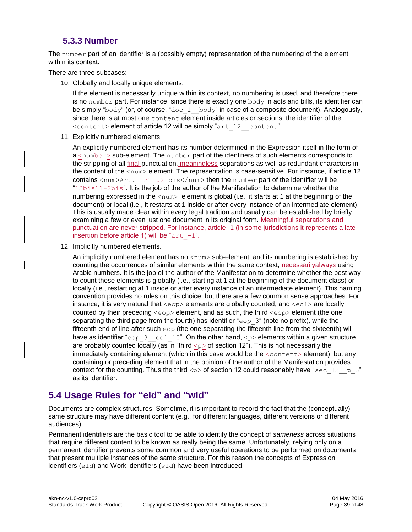### **5.3.3 Number**

<span id="page-38-0"></span>The number part of an identifier is a (possibly empty) representation of the numbering of the element within its context.

There are three subcases:

10. Globally and locally unique elements:

If the element is necessarily unique within its context, no numbering is used, and therefore there is no number part. For instance, since there is exactly one  $body$  in acts and bills, its identifier can be simply "body" (or, of course, "doc\_1\_\_body" in case of a composite document). Analogously, since there is at most one content element inside articles or sections, the identifier of the <content> element of article 12 will be simply "art\_12\_\_content".

11. Explicitly numbered elements

An explicitly numbered element has its number determined in the Expression itself in the form of a <number> sub-element. The number part of the identifiers of such elements corresponds to the stripping of all final punctuation, meaningless separations as well as redundant characters in the content of the  $\langle \text{num} \rangle$  element. The representation is case-sensitive. For instance, if article 12 contains  $\langle \text{num} \rangle$ Art.  $1211.2 \text{ bis}\langle \text{/num} \rangle$  then the number part of the identifier will be  $42b$ isl $1-2b$ is". It is the job of the author of the Manifestation to determine whether the numbering expressed in the  $\langle$ num $\rangle$  element is global (i.e., it starts at 1 at the beginning of the document) or local (i.e., it restarts at 1 inside or after every instance of an intermediate element). This is usually made clear within every legal tradition and usually can be established by briefly examining a few or even just one document in its original form. Meaningful separations and punctuation are never stripped. For instance, article -1 (in some jurisdictions it represents a late insertion before article 1) will be " $art -1$ ".

12. Implicitly numbered elements.

An implicitly numbered element has no  $\langle \text{num} \rangle$  sub-element, and its numbering is established by counting the occurrences of similar elements within the same context, necessarilyalways using Arabic numbers. It is the job of the author of the Manifestation to determine whether the best way to count these elements is globally (i.e., starting at 1 at the beginning of the document class) or locally (i.e., restarting at 1 inside or after every instance of an intermediate element). This naming convention provides no rules on this choice, but there are a few common sense approaches. For instance, it is very natural that  $\langle e_{\text{op}} \rangle$  elements are globally counted, and  $\langle e_{\text{od}} \rangle$  are locally counted by their preceding  $\langle \text{eop} \rangle$  element, and as such, the third  $\langle \text{eop} \rangle$  element (the one separating the third page from the fourth) has identifier " $\epsilon$ op 3" (note no prefix), while the fifteenth end of line after such  $\exp$  (the one separating the fifteenth line from the sixteenth) will have as identifier "eop 3 eol 15". On the other hand,  $\langle p \rangle$  elements within a given structure are probably counted locally (as in "third  $\langle p \rangle$  of section 12"). This is not necessarily the immediately containing element (which in this case would be the  $\leq$ content $>$ element), but any containing or preceding element that in the opinion of the author of the Manifestation provides context for the counting. Thus the third  $\langle p \rangle$  of section 12 could reasonably have "sec\_12\_ p\_3" as its identifier.

### <span id="page-38-1"></span>**5.4 Usage Rules for "eId" and "wId"**

Documents are complex structures. Sometime, it is important to record the fact that the (conceptually) same structure may have different content (e.g., for different languages, different versions or different audiences).

Permanent identifiers are the basic tool to be able to identify the concept of *sameness* across situations that require different content to be known as really being the same. Unfortunately, relying only on a permanent identifier prevents some common and very useful operations to be performed on documents that present multiple instances of the same structure. For this reason the concepts of Expression identifiers  $(eId)$  and Work identifiers  $(wId)$  have been introduced.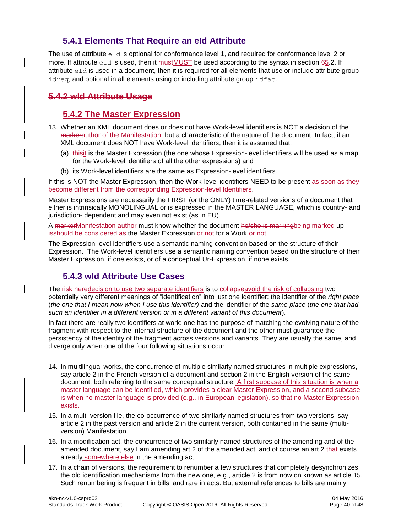### **5.4.1 Elements That Require an eId Attribute**

<span id="page-39-0"></span>The use of attribute  $eId$  is optional for conformance level 1, and required for conformance level 2 or more. If attribute  $eId$  is used, then it must MUST be used according to the syntax in section 65.2. If attribute  $eId$  is used in a document, then it is required for all elements that use or include attribute group idreq, and optional in all elements using or including attribute group idfac.

### <span id="page-39-1"></span>**5.4.2 wId Attribute Usage**

### **5.4.2 The Master Expression**

- 13. Whether an XML document does or does not have Work-level identifiers is NOT a decision of the markerauthor of the Manifestation, but a characteristic of the nature of the document. In fact, if an XML document does NOT have Work-level identifiers, then it is assumed that:
	- (a) thisit is the Master Expression (the one whose Expression-level identifiers will be used as a map for the Work-level identifiers of all the other expressions) and
	- (b) its Work-level identifiers are the same as Expression-level identifiers.

If this is NOT the Master Expression, then the Work-level identifiers NEED to be present as soon as they become different from the corresponding Expression-level Identifiers.

Master Expressions are necessarily the FIRST (or the ONLY) time-related versions of a document that either is intrinsically MONOLINGUAL or is expressed in the MASTER LANGUAGE, which is country- and jurisdiction- dependent and may even not exist (as in EU).

A markerManifestation author must know whether the document he/she is markingbeing marked up isshould be considered as the Master Expression or not for a Work or not.

The Expression-level identifiers use a semantic naming convention based on the structure of their Expression. The Work-level identifiers use a semantic naming convention based on the structure of their Master Expression, if one exists, or of a conceptual Ur-Expression, if none exists.

### <span id="page-39-2"></span>**5.4.3 wId Attribute Use Cases**

The risk heredecision to use two separate identifiers is to collapseavoid the risk of collapsing two potentially very different meanings of "identification" into just one identifier: the identifier of the *right place*  (*the one that I mean now when I use this identifier)* and the identifier of the *same place* (*the one that had such an identifier in a different version or in a different variant of this document*).

In fact there are really two identifiers at work: one has the purpose of matching the evolving nature of the fragment with respect to the internal structure of the document and the other must guarantee the persistency of the identity of the fragment across versions and variants. They are usually the same, and diverge only when one of the four following situations occur:

- 14. In multilingual works, the concurrence of multiple similarly named structures in multiple expressions, say article 2 in the French version of a document and section 2 in the English version of the same document, both referring to the same conceptual structure. A first subcase of this situation is when a master language can be identified, which provides a clear Master Expression, and a second subcase is when no master language is provided (e.g., in European legislation), so that no Master Expression exists.
- 15. In a multi-version file, the co-occurrence of two similarly named structures from two versions, say article 2 in the past version and article 2 in the current version, both contained in the same (multiversion) Manifestation.
- 16. In a modification act, the concurrence of two similarly named structures of the amending and of the amended document, say I am amending art.2 of the amended act, and of course an art.2 that exists already somewhere else in the amending act.
- 17. In a chain of versions, the requirement to renumber a few structures that completely desynchronizes the old identification mechanisms from the new one, e.g., article 2 is from now on known as article 15. Such renumbering is frequent in bills, and rare in acts. But external references to bills are mainly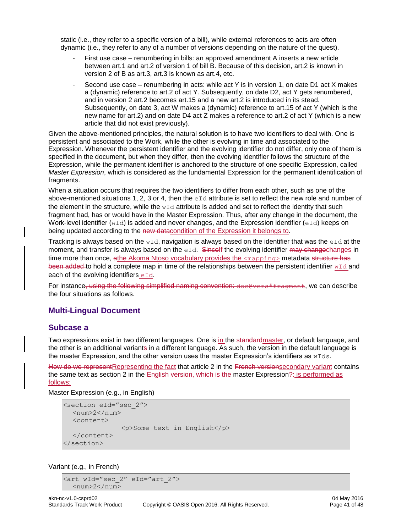static (i.e., they refer to a specific version of a bill), while external references to acts are often dynamic (i.e., they refer to any of a number of versions depending on the nature of the quest).

- First use case renumbering in bills: an approved amendment A inserts a new article between art.1 and art.2 of version 1 of bill B. Because of this decision, art.2 is known in version 2 of B as art.3, art.3 is known as art.4, etc.
- Second use case renumbering in acts: while act Y is in version 1, on date D1 act X makes a (dynamic) reference to art.2 of act Y. Subsequently, on date D2, act Y gets renumbered, and in version 2 art.2 becomes art.15 and a new art.2 is introduced in its stead. Subsequently, on date 3, act W makes a (dynamic) reference to art.15 of act Y (which is the new name for art.2) and on date D4 act Z makes a reference to art.2 of act Y (which is a new article that did not exist previously).

Given the above-mentioned principles, the natural solution is to have two identifiers to deal with. One is persistent and associated to the Work, while the other is evolving in time and associated to the Expression. Whenever the persistent identifier and the evolving identifier do not differ, only one of them is specified in the document, but when they differ, then the evolving identifier follows the structure of the Expression, while the permanent identifier is anchored to the structure of one specific Expression, called *Master Expression*, which is considered as the fundamental Expression for the permanent identification of fragments.

When a situation occurs that requires the two identifiers to differ from each other, such as one of the above-mentioned situations 1, 2, 3 or 4, then the  $eI\,d$  attribute is set to reflect the new role and number of the element in the structure, while the  $wId$  attribute is added and set to reflect the identity that such fragment had, has or would have in the Master Expression. Thus, after any change in the document, the Work-level identifier ( $wId$ ) is added and never changes, and the Expression identifier (eId) keeps on being updated according to the new datacondition of the Expression it belongs to.

Tracking is always based on the  $wId$ , navigation is always based on the identifier that was the eId at the moment, and transfer is always based on the  $eId$ . Sincelf the evolving identifier  $max$  changechanges in time more than once, athe Akoma Ntoso vocabulary provides the <mapping> metadata structure has been added to hold a complete map in time of the relationships between the persistent identifier  $wId$  and each of the evolving identifiers  $eId$ .

For instance, using the following simplified naming convention:  $\frac{1}{1}$  doce vers  $\frac{1}{1}$  fragment, we can describe the four situations as follows.

#### <span id="page-40-0"></span>**Multi-Lingual Document**

#### <span id="page-40-1"></span>**Subcase a**

Two expressions exist in two different languages. One is in the standardmaster, or default language, and the other is an additional variants in a different language. As such, the version in the default language is the master Expression, and the other version uses the master Expression's identifiers as  $wIds$ .

How do we represent Representing the fact that article 2 in the French versionsecondary variant contains the same text as section 2 in the English version, which is the master Expression?: is performed as follows:

Master Expression (e.g., in English)

```
<section eId="sec_2">
  \langlenum>2\langle/num><content>
                 <p>Some text in English</p>
  </content>
</section>
```
#### Variant (e.g., in French)

```
<art wId="sec_2" eId="art_2">
  <num>2</num>
```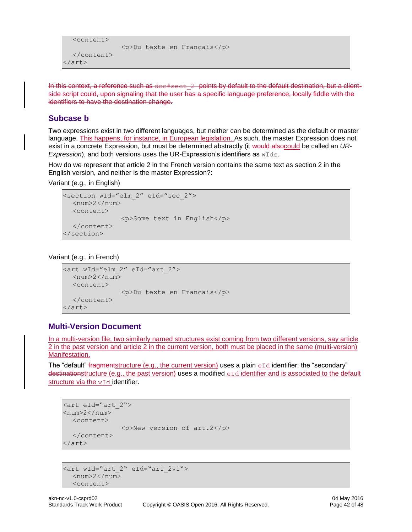```
<content>
                <p>Du texte en Français</p>
  </content>
</art>
```
<span id="page-41-0"></span>In this context, a reference such as  $doefsect-2$  points by default to the default destination, but a clientside script could, upon signaling that the user has a specific language preference, locally fiddle with the identifiers to have the destination change.

#### **Subcase b**

Two expressions exist in two different languages, but neither can be determined as the default or master language. This happens, for instance, in European legislation. As such, the master Expression does not exist in a concrete Expression, but must be determined abstractly (it would alsocould be called an *UR-Expression*), and both versions uses the UR-Expression's identifiers as  $wIds$ .

How do we represent that article 2 in the French version contains the same text as section 2 in the English version, and neither is the master Expression?:

Variant (e.g., in English)

```
<section wId="elm_2" eId="sec_2">
  <num>2</num>
  <content>
               <p>Some text in English</p>
  </content>
</section>
```
Variant (e.g., in French)

```
<art wId="elm_2" eId="art_2">
  <num>2</num><content>
               <p>Du texte en Français</p>
  </content>
</art>
```
#### <span id="page-41-1"></span>**Multi-Version Document**

In a multi-version file, two similarly named structures exist coming from two different versions, say article 2 in the past version and article 2 in the current version, both must be placed in the same (multi-version) Manifestation.

The "default" fragmentstructure (e.g., the current version) uses a plain  $eId$  identifier; the "secondary" destinationstructure (e.g., the past version) uses a modified eId identifier and is associated to the default structure via the w<sub>Id</sub> identifier.

```
<art eId="art_2">
<num>2</num>
  <content>
                <p>New version of art.2</p>
  </content>
</art>
```

```
<art wId="art_2" eId="art_2v1">
  <num>2</num>
  <content>
```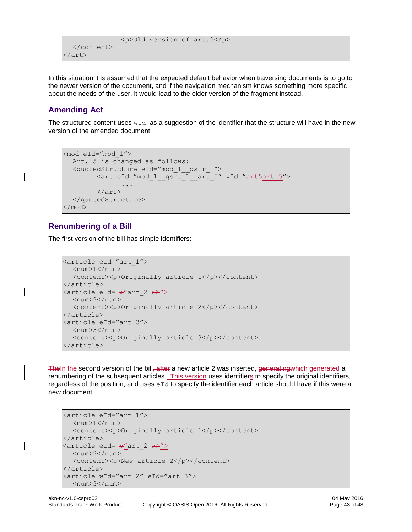```
 <p>Old version of art.2</p>
  </content>
</art>
```
In this situation it is assumed that the expected default behavior when traversing documents is to go to the newer version of the document, and if the navigation mechanism knows something more specific about the needs of the user, it would lead to the older version of the fragment instead.

### <span id="page-42-0"></span>**Amending Act**

The structured content uses  $wId$  as a suggestion of the identifier that the structure will have in the new version of the amended document:

```
<mod eId="mod_1">
  Art. 5 is changed as follows:
  <quotedStructure eId="mod_1__qstr_1">
        <art eId="mod_1__qsrt_1__art_5" wId="art5art_5">
               ...
        \langleart\rangle</quotedStructure>
</mod>
```
#### <span id="page-42-1"></span>**Renumbering of a Bill**

The first version of the bill has simple identifiers:

```
<article eId="art_1">
  <num>1</num><content><p>Originally article 1</p></content>
</article>
<article eId= »"art_2 »>">
  <num>2</num><content><p>Originally article 2</p></content>
</article>
<article eId="art_3">
  <num>3</num>
  <content><p>Originally article 3</p></content>
</article>
```
The In the second version of the bill–after a new article 2 was inserted, generating which generated a renumbering of the subsequent articles<sub>7</sub>. This version uses identifiers to specify the original identifiers, regardless of the position, and uses  $eId$  to specify the identifier each article should have if this were a new document.

```
<article eId="art_1">
  <num>1</num><content><p>Originally article 1</p></content>
</article>
\langlearticle eId= \frac{1}{2} art 2 \frac{1}{2} >">
  <num>2</num><content><p>New article 2</p></content>
</article>
<article wId="art_2" eId="art_3">
  <num>3</num>
```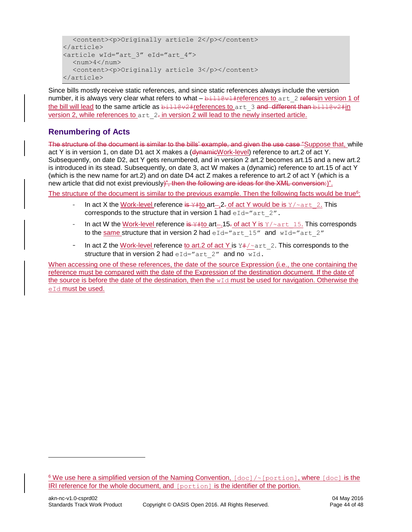```
<content><p>Originally article 2</p></content>
</article>
<article wId="art_3" eId="art_4">
  <num>4</num><content><p>Originally article 3</p></content>
</article>
```
Since bills mostly receive static references, and since static references always include the version number, it is always very clear what refers to what  $-\frac{b+11+6v+1}{2}$  references to art 2 refersin version 1 of the bill will lead to the same article as  $b\pm 110v^2$ #references to art 3 and different than  $b\pm 110v^2$ #in version 2, while references to  $art 2$ - in version 2 will lead to the newly inserted article.

### <span id="page-43-0"></span>**Renumbering of Acts**

l

The structure of the document is similar to the bills' example, and given the use case "Suppose that, while act Y is in version 1, on date D1 act X makes a (dynamieWork-level) reference to art.2 of act Y. Subsequently, on date D2, act Y gets renumbered, and in version 2 art.2 becomes art.15 and a new art.2 is introduced in its stead. Subsequently, on date 3, act W makes a (dynamic) reference to art.15 of act Y (which is the new name for art.2) and on date D4 act Z makes a reference to art.2 of act Y (which is a new article that did not exist previously)", then the following are ideas for the XML conversion:)".

The structure of the document is similar to the previous example. Then the following facts would be true<sup>6</sup>:

- In act X the Work-level reference is  $Y#$  to art-. 2. of act Y would be is  $Y/\text{part}$  2. This corresponds to the structure that in version 1 had  $eId="art 2"$ .
- In act W the Work-level reference is  $\frac{15.76}{15.06}$  act Y is  $\frac{15.76}{15.06}$  This corresponds to the same structure that in version 2 had  $eId="art 15"$  and  $wId="art 2"$
- In act Z the Work-level reference to art. 2 of act Y is  $Y# / \sim$  art 2. This corresponds to the structure that in version 2 had  $eId="arct 2"$  and no wId.

When accessing one of these references, the date of the source Expression (i.e., the one containing the reference must be compared with the date of the Expression of the destination document. If the date of the source is before the date of the destination, then the  $wId$  must be used for navigation. Otherwise the eId must be used.

 $6$  We use here a simplified version of the Naming Convention,  $[doc]/[portion],$  where  $[doc]$  is the IRI reference for the whole document, and [portion] is the identifier of the portion.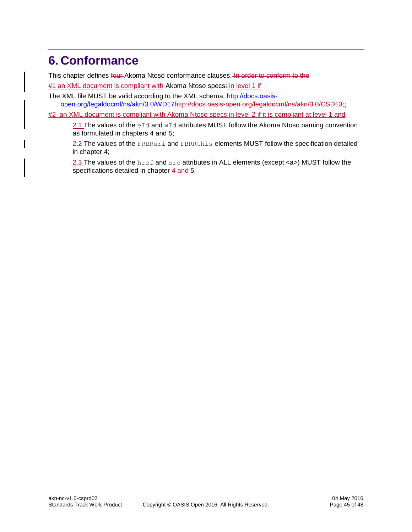## <span id="page-44-0"></span>**6. Conformance**

This chapter defines four Akoma Ntoso conformance clauses. In order to conform to the

#1 an XML document is compliant with Akoma Ntoso specs: in level 1 if

The XML file MUST be valid according to the XML schema: [http://docs.oasis](http://docs.oasis-open.org/legaldocml/ns/akn/3.0/WD17)[open.org/legaldocml/ns/akn/3.0/WD17h](http://docs.oasis-open.org/legaldocml/ns/akn/3.0/WD17)ttp://docs.oasis-open.org/legaldocml/ns/akn/3.0/CSD13;;

#2 an XML document is compliant with Akoma Ntoso specs in level 2 if it is compliant at level 1 and

2.1 The values of the  $eId$  and  $wId$  attributes MUST follow the Akoma Ntoso naming convention as formulated in chapters 4 and 5;

2.2 The values of the FRBRuri and FBRRthis elements MUST follow the specification detailed in chapter 4;

2.3 The values of the href and src attributes in ALL elements (except <a>) MUST follow the specifications detailed in chapter 4 and 5.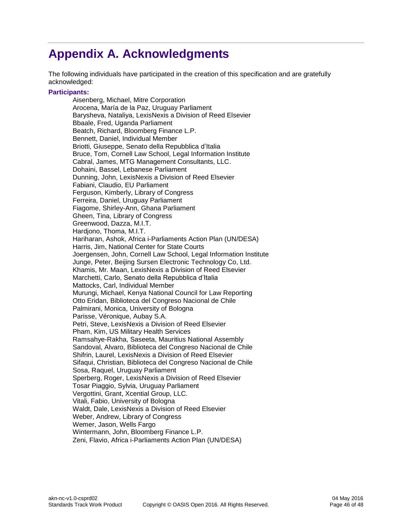# <span id="page-45-0"></span>**Appendix A. Acknowledgments**

The following individuals have participated in the creation of this specification and are gratefully acknowledged:

#### **Participants:**

Aisenberg, Michael, Mitre Corporation Arocena, María de la Paz, Uruguay Parliament Barysheva, Nataliya, LexisNexis a Division of Reed Elsevier Bbaale, Fred, Uganda Parliament Beatch, Richard, Bloomberg Finance L.P. Bennett, Daniel, Individual Member Briotti, Giuseppe, Senato della Repubblica d'Italia Bruce, Tom, Cornell Law School, Legal Information Institute Cabral, James, MTG Management Consultants, LLC. Dohaini, Bassel, Lebanese Parliament Dunning, John, LexisNexis a Division of Reed Elsevier Fabiani, Claudio, EU Parliament Ferguson, Kimberly, Library of Congress Ferreira, Daniel, Uruguay Parliament Fiagome, Shirley-Ann, Ghana Parliament Gheen, Tina, Library of Congress Greenwood, Dazza, M.I.T. Hardjono, Thoma, M.I.T. Hariharan, Ashok, Africa i-Parliaments Action Plan (UN/DESA) Harris, Jim, National Center for State Courts Joergensen, John, Cornell Law School, Legal Information Institute Junge, Peter, Beijing Sursen Electronic Technology Co, Ltd. Khamis, Mr. Maan, LexisNexis a Division of Reed Elsevier Marchetti, Carlo, Senato della Repubblica d'Italia Mattocks, Carl, Individual Member Murungi, Michael, Kenya National Council for Law Reporting Otto Eridan, Biblioteca del Congreso Nacional de Chile Palmirani, Monica, University of Bologna Parisse, Véronique, Aubay S.A. Petri, Steve, LexisNexis a Division of Reed Elsevier Pham, Kim, US Military Health Services Ramsahye-Rakha, Saseeta, Mauritius National Assembly Sandoval, Alvaro, Biblioteca del Congreso Nacional de Chile Shifrin, Laurel, LexisNexis a Division of Reed Elsevier Sifaqui, Christian, Biblioteca del Congreso Nacional de Chile Sosa, Raquel, Uruguay Parliament Sperberg, Roger, LexisNexis a Division of Reed Elsevier Tosar Piaggio, Sylvia, Uruguay Parliament Vergottini, Grant, Xcential Group, LLC. Vitali, Fabio, University of Bologna Waldt, Dale, LexisNexis a Division of Reed Elsevier Weber, Andrew, Library of Congress Wemer, Jason, Wells Fargo Wintermann, John, Bloomberg Finance L.P. Zeni, Flavio, Africa i-Parliaments Action Plan (UN/DESA)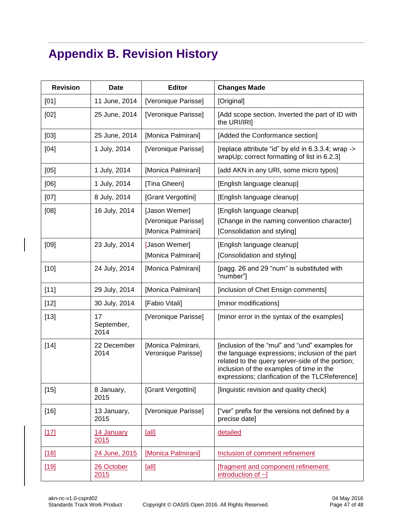# <span id="page-46-0"></span>**Appendix B. Revision History**

| <b>Revision</b> | <b>Date</b>              | Editor                                                     | <b>Changes Made</b>                                                                                                                                                                                                                                  |
|-----------------|--------------------------|------------------------------------------------------------|------------------------------------------------------------------------------------------------------------------------------------------------------------------------------------------------------------------------------------------------------|
| [01]            | 11 June, 2014            | [Veronique Parisse]                                        | [Original]                                                                                                                                                                                                                                           |
| [02]            | 25 June, 2014            | [Veronique Parisse]                                        | [Add scope section. Inverted the part of ID with<br>the URI/IRI]                                                                                                                                                                                     |
| $[03]$          | 25 June, 2014            | [Monica Palmirani]                                         | [Added the Conformance section]                                                                                                                                                                                                                      |
| $[04]$          | 1 July, 2014             | [Veronique Parisse]                                        | [replace attribute "id" by eld in 6.3.3.4; wrap -><br>wrapUp; correct formatting of list in 6.2.3]                                                                                                                                                   |
| [05]            | 1 July, 2014             | [Monica Palmirani]                                         | [add AKN in any URI, some micro typos]                                                                                                                                                                                                               |
| [06]            | 1 July, 2014             | [Tina Gheen]                                               | [English language cleanup]                                                                                                                                                                                                                           |
| [07]            | 8 July, 2014             | [Grant Vergottini]                                         | [English language cleanup]                                                                                                                                                                                                                           |
| [08]            | 16 July, 2014            | [Jason Wemer]<br>[Veronique Parisse]<br>[Monica Palmirani] | [English language cleanup]<br>[Change in the naming convention character]<br>[Consolidation and styling]                                                                                                                                             |
| [09]            | 23 July, 2014            | [Jason Wemer]<br>[Monica Palmirani]                        | [English language cleanup]<br>[Consolidation and styling]                                                                                                                                                                                            |
| $[10]$          | 24 July, 2014            | [Monica Palmirani]                                         | [pagg. 26 and 29 "num" is substituted with<br>"number"]                                                                                                                                                                                              |
| $[11]$          | 29 July, 2014            | [Monica Palmirani]                                         | [inclusion of Chet Ensign comments]                                                                                                                                                                                                                  |
| $[12]$          | 30 July, 2014            | [Fabio Vitali]                                             | [minor modifications]                                                                                                                                                                                                                                |
| $[13]$          | 17<br>September,<br>2014 | [Veronique Parisse]                                        | [minor error in the syntax of the examples]                                                                                                                                                                                                          |
| $[14]$          | 22 December<br>2014      | [Monica Palmirani,<br>Veronique Parisse]                   | [inclusion of the "mul" and "und" examples for<br>the language expressions; inclusion of the part<br>related to the query server-side of the portion;<br>inclusion of the examples of time in the<br>expressions; clarification of the TLCReference] |
| $[15]$          | 8 January,<br>2015       | [Grant Vergottini]                                         | [linguistic revision and quality check]                                                                                                                                                                                                              |
| $[16]$          | 13 January,<br>2015      | [Veronique Parisse]                                        | ["ver" prefix for the versions not defined by a<br>precise date]                                                                                                                                                                                     |
| $[17]$          | 14 January<br>2015       | [all]                                                      | detailed                                                                                                                                                                                                                                             |
| [18]            | 24 June, 2015            | [Monica Palmirani]                                         | Inclusion of comment refinement                                                                                                                                                                                                                      |
| $[19]$          | 26 October<br>2015       | [all]                                                      | <b>[fragment and component refinement:</b><br>introduction of $\sim$ ]                                                                                                                                                                               |